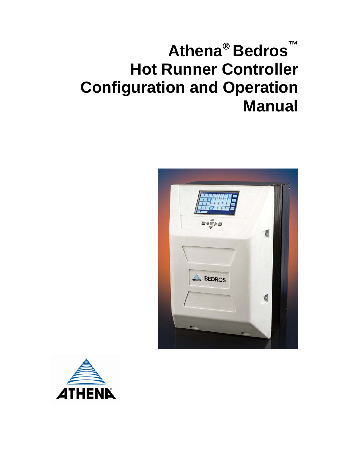# **Athena**® **Bedros™ Hot Runner Controller Configuration and Operation Manual**



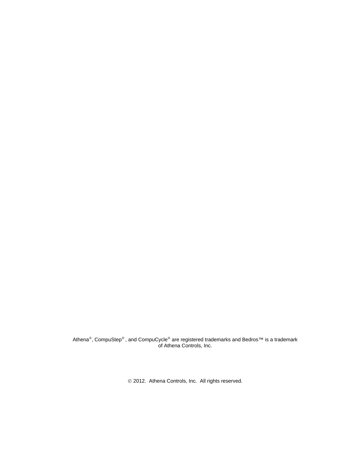Athena®, CompuStep® , and CompuCycle® are registered trademarks and Bedros™ is a trademark of Athena Controls, Inc.

© 2012. Athena Controls, Inc. All rights reserved.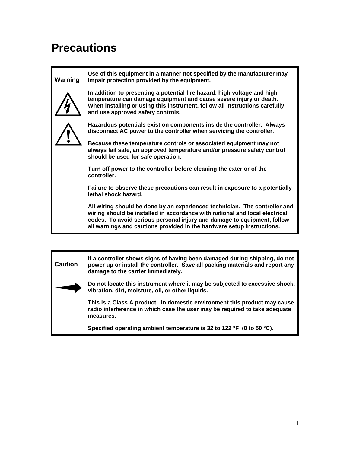# <span id="page-2-0"></span>**Precautions**

# **Warning**

**Use of this equipment in a manner not specified by the manufacturer may impair protection provided by the equipment.** 



**In addition to presenting a potential fire hazard, high voltage and high temperature can damage equipment and cause severe injury or death. When installing or using this instrument, follow all instructions carefully and use approved safety controls.** 



**Hazardous potentials exist on components inside the controller. Always disconnect AC power to the controller when servicing the controller.** 

**Because these temperature controls or associated equipment may not always fail safe, an approved temperature and/or pressure safety control should be used for safe operation.** 

**Turn off power to the controller before cleaning the exterior of the controller.** 

**Failure to observe these precautions can result in exposure to a potentially lethal shock hazard.** 

**All wiring should be done by an experienced technician. The controller and wiring should be installed in accordance with national and local electrical codes. To avoid serious personal injury and damage to equipment, follow all warnings and cautions provided in the hardware setup instructions.** 

**Caution If a controller shows signs of having been damaged during shipping, do not power up or install the controller. Save all packing materials and report any damage to the carrier immediately.** 



**Do not locate this instrument where it may be subjected to excessive shock, vibration, dirt, moisture, oil, or other liquids.** 

**This is a Class A product. In domestic environment this product may cause radio interference in which case the user may be required to take adequate measures.** 

**Specified operating ambient temperature is 32 to 122 °F (0 to 50 °C).**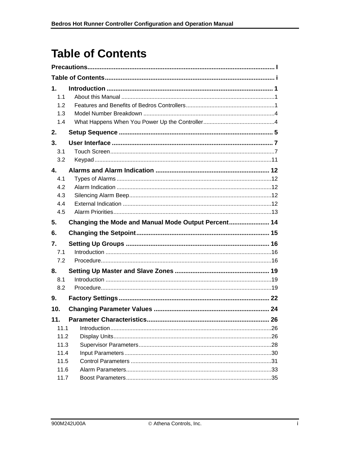# <span id="page-3-0"></span>**Table of Contents**

| 1.<br>1.1<br>1.2<br>1.3<br>1.4        |                                                     |     |
|---------------------------------------|-----------------------------------------------------|-----|
| 2.                                    |                                                     |     |
| 3.<br>3.1<br>3.2                      |                                                     |     |
| 4.<br>4.1<br>4.2<br>4.3<br>4.4<br>4.5 |                                                     |     |
| 5.                                    | Changing the Mode and Manual Mode Output Percent 14 |     |
| 6.                                    |                                                     |     |
| 7.<br>7.1<br>7.2<br>8.<br>8.1         |                                                     |     |
| 8.2                                   |                                                     |     |
| 9.                                    |                                                     |     |
| 10.                                   |                                                     |     |
| 11.<br>11.1<br>11.2                   |                                                     | .26 |
| 11.3<br>11.4<br>11.5                  |                                                     |     |
| 11.6<br>11.7                          |                                                     |     |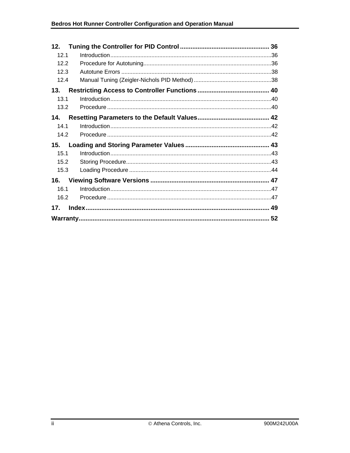| 12.  |  |
|------|--|
| 12.1 |  |
| 12.2 |  |
| 12.3 |  |
| 12.4 |  |
| 13.  |  |
| 13.1 |  |
| 13.2 |  |
| 14.  |  |
| 14.1 |  |
| 14.2 |  |
| 15.  |  |
| 15.1 |  |
| 15.2 |  |
| 15.3 |  |
| 16.  |  |
| 16.1 |  |
| 16.2 |  |
| 17.  |  |
|      |  |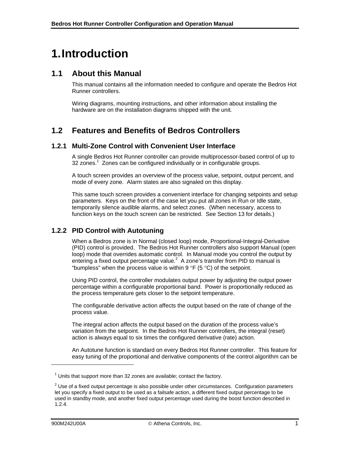# <span id="page-5-0"></span>**1.Introduction**

## <span id="page-5-1"></span>**1.1 About this Manual**

This manual contains all the information needed to configure and operate the Bedros Hot Runner controllers.

Wiring diagrams, mounting instructions, and other information about installing the hardware are on the installation diagrams shipped with the unit*.*

# <span id="page-5-2"></span>**1.2 Features and Benefits of Bedros Controllers**

#### **1.2.1 Multi-Zone Control with Convenient User Interface**

A single Bedros Hot Runner controller can provide multiprocessor-based control of up to 32 zones. $1$  Zones can be configured individually or in configurable groups.

A touch screen provides an overview of the process value, setpoint, output percent, and mode of every zone. Alarm states are also signaled on this display.

This same touch screen provides a convenient interface for changing setpoints and setup parameters. Keys on the front of the case let you put all zones in Run or Idle state, temporarily silence audible alarms, and select zones. (When necessary, access to function keys on the touch screen can be restricted. See Section [13](#page-44-0) for details.)

### **1.2.2 PID Control with Autotuning**

When a Bedros zone is in Normal (closed loop) mode, Proportional-Integral-Derivative (PID) control is provided. The Bedros Hot Runner controllers also support Manual (open loop) mode that overrides automatic control. In Manual mode you control the output by entering a fixed output percentage value. $^2$  A zone's transfer from PID to manual is "bumpless" when the process value is within 9  $\degree$ F (5  $\degree$ C) of the setpoint.

Using PID control, the controller modulates output power by adjusting the output power percentage within a configurable proportional band. Power is proportionally reduced as the process temperature gets closer to the setpoint temperature.

The configurable derivative action affects the output based on the rate of change of the process value.

The integral action affects the output based on the duration of the process value's variation from the setpoint. In the Bedros Hot Runner controllers, the integral (reset) action is always equal to six times the configured derivative (rate) action.

An Autotune function is standard on every Bedros Hot Runner controller. This feature for easy tuning of the proportional and derivative components of the control algorithm can be

l

 $1$  Units that support more than 32 zones are available; contact the factory.

 $2$  Use of a fixed output percentage is also possible under other circumstances. Configuration parameters let you specify a fixed output to be used as a failsafe action, a different fixed output percentage to be used in standby mode, and another fixed output percentage used during the boost function described in 1.2.4.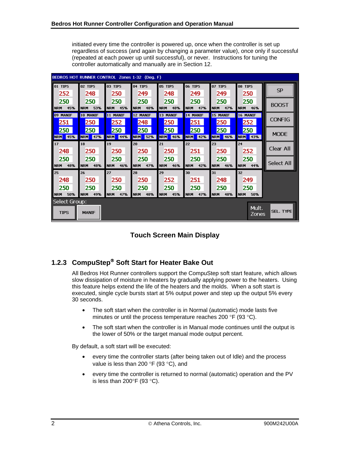initiated every time the controller is powered up, once when the controller is set up regardless of success (and again by changing a parameter value), once only if successful (repeated at each power up until successful), or never. Instructions for tuning the controller automatically and manually are in Section 12.

| BEDROS HOT RUNNER CONTROL Zones 1-32 (Deq. F) |              |                |                |                |                |            |                |                  |  |  |
|-----------------------------------------------|--------------|----------------|----------------|----------------|----------------|------------|----------------|------------------|--|--|
| loi tips                                      | 02 TIPS      | <b>03 TIPS</b> | <b>04 TIPS</b> | <b>05 TIPS</b> | <b>06 TIPS</b> | 07 TIPS    | <b>08 TIPS</b> | <b>SP</b>        |  |  |
| 252                                           | 248          | 250            | 249            | 248            | 249            | 249        | 250            |                  |  |  |
| 250                                           | 250          | 250            | 250            | 250            | 250            | 250        | 250            | <b>BOOST</b>     |  |  |
| 45%                                           | 53%          | 45%            | 48%            | 48%            | 47%            | 47%        | 46%            |                  |  |  |
| <b>INRM</b>                                   | <b>NRM</b>   | <b>NRM</b>     | <b>NRM</b>     | <b>NRM</b>     | <b>NRM</b>     | <b>NRM</b> | <b>NRM</b>     |                  |  |  |
| 09 MANIF                                      | 10 MANIF     | 11 MANIF       | 12 MANIF       | 13 MANIF       | 14 MANIF       | 15 MANIF   | 16 MANIF       | <b>CONFIG</b>    |  |  |
| 251                                           | 250          | 252            | 248            | 250            | 251            | 250        | 252            |                  |  |  |
| 250                                           | 250          | 250            | 250            | 250            | 250            | 250        | 250            | <b>MODE</b>      |  |  |
| 45%                                           | 47%          | 44%            | 52%            | 46%            | <b>NRM</b>     | <b>NRM</b> | <b>NRM</b>     |                  |  |  |
| <b>NRM</b>                                    | <b>NRM</b>   | <b>NRM</b>     | <b>NRM</b>     | <b>NRM</b>     | 42%            | 46%        | 43%            |                  |  |  |
| <b>17</b>                                     | 18           | 19             | 20             | 21             | 22             | 23         | 24             | Clear All        |  |  |
| 248                                           | 250          | 250            | 250            | 250            | 251            | 250        | 252            |                  |  |  |
| 250                                           | 250          | 250            | 250            | 250            | 250            | 250        | 250            | Select All       |  |  |
| 48%                                           | 48%          | 46%            | 47%            | 46%            | 42%            | 46%        | 44%            |                  |  |  |
| <b>I</b> NRM                                  | <b>NRM</b>   | <b>NRM</b>     | <b>NRM</b>     | <b>NRM</b>     | <b>NRM</b>     | <b>NRM</b> | <b>NRM</b>     |                  |  |  |
| 25                                            | 26           | 27             | 28             | 29             | 30             | 31         | 32             |                  |  |  |
| 248                                           | 250          | 250            | 250            | 252            | 251            | 248        | 249            |                  |  |  |
| 250                                           | 250          | 250            | 250            | 250            | 250            | 250        | 250            |                  |  |  |
| <b>NRM</b>                                    | 49%          | <b>NRM</b>     | 48%            | 45%            | 47%            | 48%        | 50%            |                  |  |  |
| 50%                                           | <b>NRM</b>   | 47%            | <b>NRM</b>     | <b>NRM</b>     | <b>NRM</b>     | <b>NRM</b> | <b>NRM</b>     |                  |  |  |
| Select Group:                                 |              |                |                |                |                |            | Mult.          |                  |  |  |
| <b>TIPS</b>                                   | <b>MANIF</b> |                |                |                |                |            | Zones          | <b>SEL. TYPE</b> |  |  |

**Touch Screen Main Display** 

## <span id="page-6-0"></span>**1.2.3 CompuStep**® **Soft Start for Heater Bake Out**

All Bedros Hot Runner controllers support the CompuStep soft start feature, which allows slow dissipation of moisture in heaters by gradually applying power to the heaters. Using this feature helps extend the life of the heaters and the molds. When a soft start is executed, single cycle bursts start at 5% output power and step up the output 5% every 30 seconds.

- The soft start when the controller is in Normal (automatic) mode lasts five minutes or until the process temperature reaches 200 °F (93 °C).
- The soft start when the controller is in Manual mode continues until the output is the lower of 50% or the target manual mode output percent.

By default, a soft start will be executed:

- every time the controller starts (after being taken out of Idle) and the process value is less than 200 °F (93 °C), and
- every time the controller is returned to normal (automatic) operation and the PV is less than 200 $\degree$ F (93 $\degree$ C).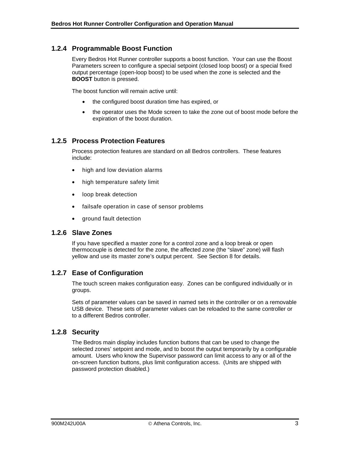### **1.2.4 Programmable Boost Function**

Every Bedros Hot Runner controller supports a boost function. Your can use the Boost Parameters screen to configure a special setpoint (closed loop boost) or a special fixed output percentage (open-loop boost) to be used when the zone is selected and the **BOOST** button is pressed.

The boost function will remain active until:

- the configured boost duration time has expired, or
- the operator uses the Mode screen to take the zone out of boost mode before the expiration of the boost duration.

#### **1.2.5 Process Protection Features**

Process protection features are standard on all Bedros controllers. These features include:

- high and low deviation alarms
- high temperature safety limit
- loop break detection
- failsafe operation in case of sensor problems
- ground fault detection

#### **1.2.6 Slave Zones**

If you have specified a master zone for a control zone and a loop break or open thermocouple is detected for the zone, the affected zone (the "slave" zone) will flash yellow and use its master zone's output percent. See Section [8](#page-23-0) for details.

#### **1.2.7 Ease of Configuration**

The touch screen makes configuration easy. Zones can be configured individually or in groups.

Sets of parameter values can be saved in named sets in the controller or on a removable USB device. These sets of parameter values can be reloaded to the same controller or to a different Bedros controller.

#### **1.2.8 Security**

The Bedros main display includes function buttons that can be used to change the selected zones' setpoint and mode, and to boost the output temporarily by a configurable amount. Users who know the Supervisor password can limit access to any or all of the on-screen function buttons, plus limit configuration access. (Units are shipped with password protection disabled.)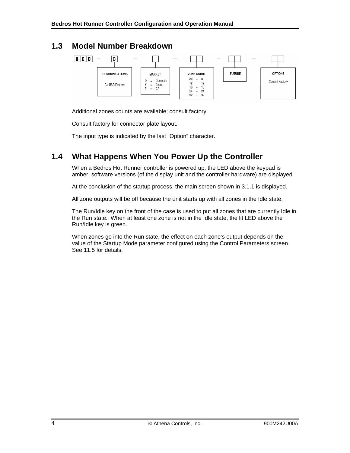## <span id="page-8-0"></span>**1.3 Model Number Breakdown**



Additional zones counts are available; consult factory.

Consult factory for connector plate layout.

The input type is indicated by the last "Option" character.

# <span id="page-8-1"></span>**1.4 What Happens When You Power Up the Controller**

When a Bedros Hot Runner controller is powered up, the LED above the keypad is amber, software versions (of the display unit and the controller hardware) are displayed.

At the conclusion of the startup process, the main screen shown in [3.1.1](#page-11-2) is displayed.

All zone outputs will be off because the unit starts up with all zones in the Idle state.

The Run/Idle key on the front of the case is used to put all zones that are currently Idle in the Run state. When at least one zone is not in the Idle state, the lit LED above the Run/Idle key is green.

When zones go into the Run state, the effect on each zone's output depends on the value of the Startup Mode parameter configured using the Control Parameters screen. See [11.5](#page-35-0) for details.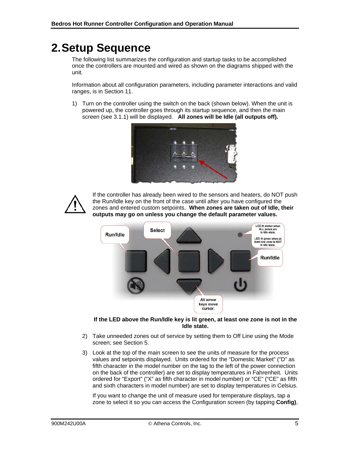# <span id="page-9-0"></span>**2.Setup Sequence**

The following list summarizes the configuration and startup tasks to be accomplished once the controllers are mounted and wired as shown on the diagrams shipped with the unit*.*

Information about all configuration parameters, including parameter interactions and valid ranges, is in Section 11.

1) Turn on the controller using the switch on the back (shown below). When the unit is powered up, the controller goes through its startup sequence, and then the main screen (see [3.1.1](#page-11-2)) will be displayed. **All zones will be Idle (all outputs off).** 





If the controller has already been wired to the sensors and heaters, do NOT push the Run/Idle key on the front of the case until after you have configured the zones and entered custom setpoints. **When zones are taken out of Idle, their outputs may go on unless you change the default parameter values.** 



**If the LED above the Run/Idle key is lit green, at least one zone is not in the Idle state.** 

- 2) Take unneeded zones out of service by setting them to Off Line using the Mode screen; see Section 5.
- 3) Look at the top of the main screen to see the units of measure for the process values and setpoints displayed. Units ordered for the "Domestic Market" ("D" as fifth character in the model number on the tag to the left of the power connection on the back of the controller) are set to display temperatures in Fahrenheit. Units ordered for "Export" ("X" as fifth character in model number) or "CE" ("CE" as fifth and sixth characters in model number) are set to display temperatures in Celsius.

If you want to change the unit of measure used for temperature displays, tap a zone to select it so you can access the Configuration screen (by tapping **Config)**,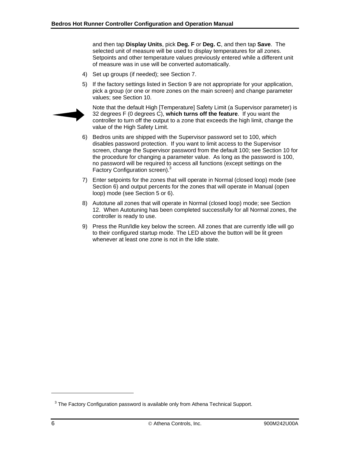and then tap **Display Units**, pick **Deg. F** or **Deg. C**, and then tap **Save**. The selected unit of measure will be used to display temperatures for all zones. Setpoints and other temperature values previously entered while a different unit of measure was in use will be converted automatically.

- 4) Set up groups (if needed); see Section [7.](#page-20-0)
- 5) If the factory settings listed in Section [9](#page-26-0) are not appropriate for your application, pick a group (or one or more zones on the main screen) and change parameter values; see Section [10.](#page-28-0)



Note that the default High [Temperature] Safety Limit (a Supervisor parameter) is 32 degrees F (0 degrees C), **which turns off the feature**. If you want the controller to turn off the output to a zone that exceeds the high limit, change the value of the High Safety Limit.

- 6) Bedros units are shipped with the Supervisor password set to 100, which disables password protection. If you want to limit access to the Supervisor screen, change the Supervisor password from the default 100; see Section [10](#page-28-0) for the procedure for changing a parameter value. As long as the password is 100, no password will be required to access all functions (except settings on the Factory Configuration screen).<sup>3</sup>
- 7) Enter setpoints for the zones that will operate in Normal (closed loop) mode (see Section [6\)](#page-19-0) and output percents for the zones that will operate in Manual (open loop) mode (see Section [5](#page-18-0) or [6\)](#page-19-0).
- 8) Autotune all zones that will operate in Normal (closed loop) mode; see Section [12](#page-40-0). When Autotuning has been completed successfully for all Normal zones, the controller is ready to use.
- 9) Press the Run/Idle key below the screen. All zones that are currently Idle will go to their configured startup mode. The LED above the button will be lit green whenever at least one zone is not in the Idle state.

l

 $3$  The Factory Configuration password is available only from Athena Technical Support.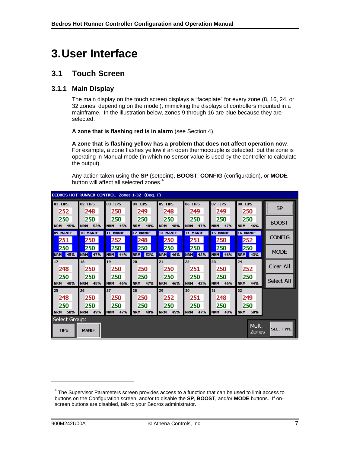# <span id="page-11-0"></span>**3.User Interface**

## <span id="page-11-1"></span>**3.1 Touch Screen**

### <span id="page-11-2"></span>**3.1.1 Main Display**

The main display on the touch screen displays a "faceplate" for every zone (8, 16, 24, or 32 zones, depending on the model), mimicking the displays of controllers mounted in a mainframe. In the illustration below, zones 9 through 16 are blue because they are selected.

**A zone that is flashing red is in alarm** (see Section [4](#page-16-0)).

**A zone that is flashing yellow has a problem that does not affect operation now**. For example, a zone flashes yellow if an open thermocouple is detected, but the zone is operating in Manual mode (in which no sensor value is used by the controller to calculate the output).

Any action taken using the **SP** (setpoint), **BOOST**, **CONFIG** (configuration), or **MODE** button will affect all selected zones.<sup>4</sup>

| BEDROS HOT RUNNER CONTROL Zones 1-32 (Deg. F) |                 |                 |                 |                 |                 |                 |                       |                  |  |  |
|-----------------------------------------------|-----------------|-----------------|-----------------|-----------------|-----------------|-----------------|-----------------------|------------------|--|--|
| <b>O1 TIPS</b>                                | <b>02 TIPS</b>  | 03 TIPS         | 04 TIPS         | <b>05 TIPS</b>  | <b>06 TIPS</b>  | <b>07 TIPS</b>  | <b>08 TIPS</b>        | <b>SP</b>        |  |  |
| 252                                           | 248             | 250             | 249             | 248             | 249             | 249             | 250                   |                  |  |  |
| 250                                           | 250             | 250             | 250             | 250             | 250             | 250             | 250                   | <b>BOOST</b>     |  |  |
| <b>INRM</b>                                   | <b>NRM</b>      | 45%             | 48%             | <b>NRM</b>      | <b>NRM</b>      | <b>NRM</b>      | <b>NRM</b>            |                  |  |  |
| 45%                                           | 53%             | <b>NRM</b>      | <b>NRM</b>      | 48%             | 47%             | 47%             | 46%                   |                  |  |  |
| 09 MANIF<br>I<br>251                          | 10 MANIF<br>250 | 11 MANIF<br>252 | 12 MANIF<br>248 | 13 MANIF<br>250 | 14 MANIF<br>251 | 15 MANIF<br>250 | 16 MANIF<br>252       | <b>CONFIG</b>    |  |  |
| 250                                           | 250             | 250             | 250             | 250             | 250             | 250             | 250                   | <b>MODE</b>      |  |  |
| <b>NRM</b>                                    | <b>NRM</b>      | <b>NRM</b>      | 52%             | <b>NRM</b>      | <b>NRM</b>      | <b>NRM</b>      | <b>NRM</b>            |                  |  |  |
| 45%                                           | 47%             | 44%             | <b>NRM</b>      | 46%             | 42%             | 46%             | 43%                   |                  |  |  |
| $\vert$ 17                                    | 18              | 19              | 20              | 21              | 22              | 23              | 24                    | Clear All        |  |  |
| 248                                           | 250             | 250             | 250             | 250             | 251             | 250             | 252                   |                  |  |  |
| 250                                           | 250             | 250             | 250             | 250             | 250             | 250             | 250                   | Select All       |  |  |
| <b>NRM</b>                                    | 48%             | 46%             | 47%             | 46%             | 42%             | 46%             | <b>NRM</b>            |                  |  |  |
| 48%                                           | <b>NRM</b>      | <b>NRM</b>      | <b>NRM</b>      | <b>NRM</b>      | <b>NRM</b>      | <b>NRM</b>      | 44%                   |                  |  |  |
| $\vert$ 25                                    | 26              | 27              | 28              | 29              | 30              | 31              | 32                    |                  |  |  |
| 248                                           | 250             | 250             | 250             | 252             | 251             | 248             | 249                   |                  |  |  |
| 250                                           | 250             | 250             | 250             | 250             | 250             | 250             | 250                   |                  |  |  |
| <b>INRM</b>                                   | 49%             | 47%             | 48%             | <b>NRM</b>      | <b>NRM</b>      | 48%             | <b>NRM</b>            |                  |  |  |
| 50%                                           | <b>NRM</b>      | <b>NRM</b>      | <b>NRM</b>      | 45%             | 47%             | <b>NRM</b>      | 50%                   |                  |  |  |
| Select Group:<br>ı<br><b>TIPS</b>             | <b>MANIF</b>    |                 |                 |                 |                 |                 | Mult.<br><b>Zones</b> | <b>SEL. TYPE</b> |  |  |

l

 $4$  The Supervisor Parameters screen provides access to a function that can be used to limit access to buttons on the Configuration screen, and/or to disable the **SP**, **BOOST**, and/or **MODE** buttons. If onscreen buttons are disabled, talk to your Bedros administrator.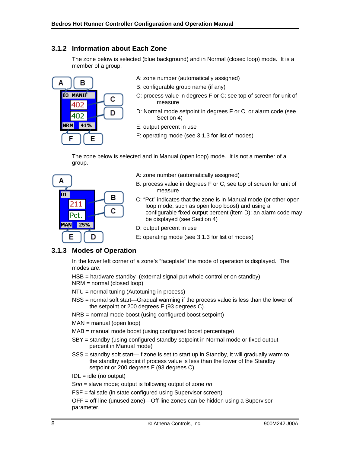### **3.1.2 Information about Each Zone**

The zone below is selected (blue background) and in Normal (closed loop) mode. It is a member of a group.



- A: zone number (automatically assigned)
- B: configurable group name (if any)
- C: process value in degrees F or C; see top of screen for unit of measure
- D: Normal mode setpoint in degrees F or C, or alarm code (see Section 4)
- E: output percent in use
- F: operating mode (see [3.1.3](#page-12-0) for list of modes)

The zone below is selected and in Manual (open loop) mode. It is not a member of a group.



- A: zone number (automatically assigned)
- B: process value in degrees F or C; see top of screen for unit of measure
- C: "Pct" indicates that the zone is in Manual mode (or other open loop mode, such as open loop boost) and using a configurable fixed output percent (item D); an alarm code may be displayed (see Section 4)
- D: output percent in use
- E: operating mode (see [3.1.3](#page-12-0) for list of modes)

#### <span id="page-12-0"></span>**3.1.3 Modes of Operation**

In the lower left corner of a zone's "faceplate" the mode of operation is displayed. The modes are:

HSB = hardware standby (external signal put whole controller on standby)

NRM = normal (closed loop)

NTU = normal tuning (Autotuning in process)

- NSS = normal soft start—Gradual warming if the process value is less than the lower of the setpoint or 200 degrees F (93 degrees C).
- NRB = normal mode boost (using configured boost setpoint)
- $MAN = manual (open loop)$
- MAB = manual mode boost (using configured boost percentage)
- SBY = standby (using configured standby setpoint in Normal mode or fixed output percent in Manual mode)
- SSS = standby soft start—If zone is set to start up in Standby, it will gradually warm to the standby setpoint if process value is less than the lower of the Standby setpoint or 200 degrees F (93 degrees C).
- $IDL = idle (no output)$

S*nn* = slave mode; output is following output of zone *nn*

FSF = failsafe (in state configured using Supervisor screen)

OFF = off-line (unused zone)—Off-line zones can be hidden using a Supervisor parameter.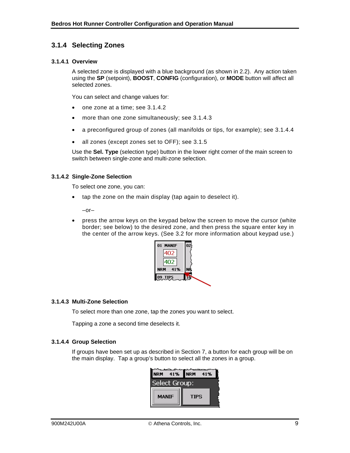### **3.1.4 Selecting Zones**

#### **3.1.4.1 Overview**

A selected zone is displayed with a blue background (as shown in 2.2). Any action taken using the **SP** (setpoint), **BOOST**, **CONFIG** (configuration), or **MODE** button will affect all selected zones.

You can select and change values for:

- one zone at a time; see 3.1.4.2
- more than one zone simultaneously; see 3.1.4.3
- a preconfigured group of zones (all manifolds or tips, for example); see [3.1.4.4](#page-13-2)
- all zones (except zones set to OFF); see 3.1.5

Use the **Sel. Type** (selection type) button in the lower right corner of the main screen to switch between single-zone and multi-zone selection.

#### <span id="page-13-0"></span>**3.1.4.2 Single-Zone Selection**

To select one zone, you can:

• tap the zone on the main display (tap again to deselect it).

–or–

• press the arrow keys on the keypad below the screen to move the cursor (white border; see below) to the desired zone, and then press the square enter key in the center of the arrow keys. (See [3.2](#page-15-0) for more information about keypad use.)



#### <span id="page-13-1"></span>**3.1.4.3 Multi-Zone Selection**

To select more than one zone, tap the zones you want to select.

Tapping a zone a second time deselects it.

#### <span id="page-13-2"></span>**3.1.4.4 Group Selection**

If groups have been set up as described in Section 7, a button for each group will be on the main display. Tap a group's button to select all the zones in a group.

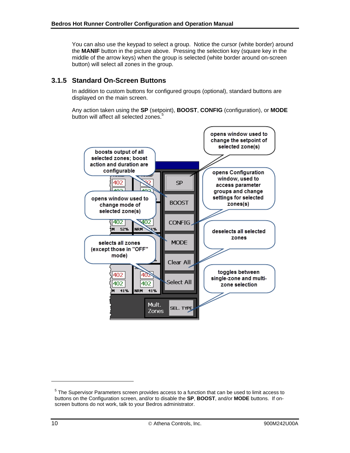You can also use the keypad to select a group. Notice the cursor (white border) around the **MANIF** button in the picture above. Pressing the selection key (square key in the middle of the arrow keys) when the group is selected (white border around on-screen button) will select all zones in the group.

### <span id="page-14-0"></span>**3.1.5 Standard On-Screen Buttons**

In addition to custom buttons for configured groups (optional), standard buttons are displayed on the main screen.

Any action taken using the **SP** (setpoint), **BOOST**, **CONFIG** (configuration), or **MODE** button will affect all selected zones.<sup>5</sup>



-

 $5$  The Supervisor Parameters screen provides access to a function that can be used to limit access to buttons on the Configuration screen, and/or to disable the **SP**, **BOOST**, and/or **MODE** buttons. If onscreen buttons do not work, talk to your Bedros administrator.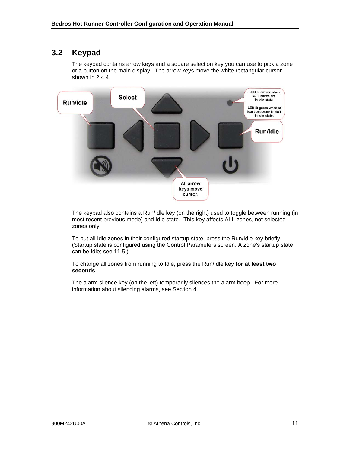# <span id="page-15-0"></span>**3.2 Keypad**

The keypad contains arrow keys and a square selection key you can use to pick a zone or a button on the main display. The arrow keys move the white rectangular cursor shown in 2.4.4.



The keypad also contains a Run/Idle key (on the right) used to toggle between running (in most recent previous mode) and Idle state. This key affects ALL zones, not selected zones only.

To put all Idle zones in their configured startup state, press the Run/Idle key briefly. (Startup state is configured using the Control Parameters screen. A zone's startup state can be Idle; see [11.5.](#page-35-0))

To change all zones from running to Idle, press the Run/Idle key **for at least two seconds**.

The alarm silence key (on the left) temporarily silences the alarm beep. For more information about silencing alarms, see Section 4.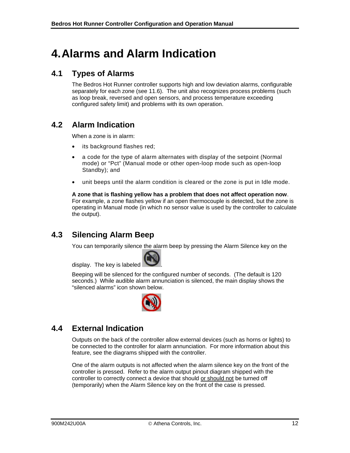# <span id="page-16-0"></span>**4.Alarms and Alarm Indication**

## <span id="page-16-1"></span>**4.1 Types of Alarms**

The Bedros Hot Runner controller supports high and low deviation alarms, configurable separately for each zone (see [11.6](#page-37-0)). The unit also recognizes process problems (such as loop break, reversed and open sensors, and process temperature exceeding configured safety limit) and problems with its own operation.

# <span id="page-16-2"></span>**4.2 Alarm Indication**

When a zone is in alarm:

- its background flashes red;
- a code for the type of alarm alternates with display of the setpoint (Normal mode) or "Pct" (Manual mode or other open-loop mode such as open-loop Standby); and
- unit beeps until the alarm condition is cleared or the zone is put in Idle mode.

**A zone that is flashing yellow has a problem that does not affect operation now**. For example, a zone flashes yellow if an open thermocouple is detected, but the zone is operating in Manual mode (in which no sensor value is used by the controller to calculate the output).

# <span id="page-16-3"></span>**4.3 Silencing Alarm Beep**

You can temporarily silence the alarm beep by pressing the Alarm Silence key on the



Beeping will be silenced for the configured number of seconds. (The default is 120 seconds.) While audible alarm annunciation is silenced, the main display shows the "silenced alarms" icon shown below.



# <span id="page-16-4"></span>**4.4 External Indication**

Outputs on the back of the controller allow external devices (such as horns or lights) to be connected to the controller for alarm annunciation. For more information about this feature, see the diagrams shipped with the controller.

One of the alarm outputs is not affected when the alarm silence key on the front of the controller is pressed. Refer to the alarm output pinout diagram shipped with the controller to correctly connect a device that should or should not be turned off (temporarily) when the Alarm Silence key on the front of the case is pressed.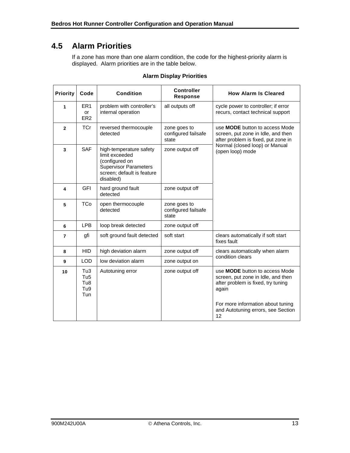# <span id="page-17-0"></span>**4.5 Alarm Priorities**

If a zone has more than one alarm condition, the code for the highest-priority alarm is displayed. Alarm priorities are in the table below.

| <b>Priority</b> | Code                                               | <b>Condition</b>                                                                                                                       | <b>Controller</b><br><b>Response</b>         | <b>How Alarm Is Cleared</b>                                                                                                                                                                          |
|-----------------|----------------------------------------------------|----------------------------------------------------------------------------------------------------------------------------------------|----------------------------------------------|------------------------------------------------------------------------------------------------------------------------------------------------------------------------------------------------------|
| 1               | ER <sub>1</sub><br>or<br>ER <sub>2</sub>           | problem with controller's<br>internal operation                                                                                        | all outputs off                              | cycle power to controller; if error<br>recurs, contact technical support                                                                                                                             |
| $\overline{2}$  | <b>TCr</b>                                         | reversed thermocouple<br>detected                                                                                                      | zone goes to<br>configured failsafe<br>state | use <b>MODE</b> button to access Mode<br>screen, put zone in Idle, and then<br>after problem is fixed, put zone in                                                                                   |
| 3               | <b>SAF</b>                                         | high-temperature safety<br>limit exceeded<br>(configured on<br><b>Supervisor Parameters</b><br>screen; default is feature<br>disabled) | zone output off                              | Normal (closed loop) or Manual<br>(open loop) mode                                                                                                                                                   |
| 4               | <b>GFI</b>                                         | hard ground fault<br>detected                                                                                                          | zone output off                              |                                                                                                                                                                                                      |
| 5               | <b>TCo</b>                                         | open thermocouple<br>detected                                                                                                          | zone goes to<br>configured failsafe<br>state |                                                                                                                                                                                                      |
| 6               | <b>LPB</b>                                         | loop break detected                                                                                                                    | zone output off                              |                                                                                                                                                                                                      |
| 7               | gfi                                                | soft ground fault detected                                                                                                             | soft start                                   | clears automatically if soft start<br>fixes fault                                                                                                                                                    |
| 8               | <b>HID</b>                                         | high deviation alarm                                                                                                                   | zone output off                              | clears automatically when alarm                                                                                                                                                                      |
| 9               | <b>LOD</b>                                         | low deviation alarm                                                                                                                    | zone output on                               | condition clears                                                                                                                                                                                     |
| 10              | Tu3<br>Tu <sub>5</sub><br>Tu8<br>Tu9<br><b>Tun</b> | Autotuning error                                                                                                                       | zone output off                              | use MODE button to access Mode<br>screen, put zone in Idle, and then<br>after problem is fixed, try tuning<br>again<br>For more information about tuning<br>and Autotuning errors, see Section<br>12 |

#### **Alarm Display Priorities**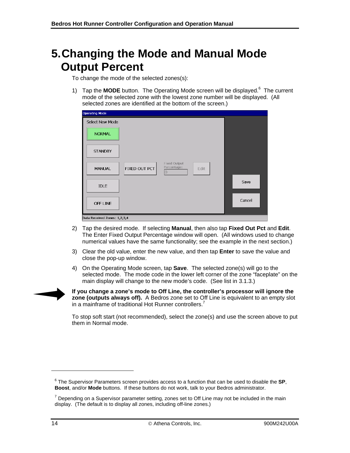# <span id="page-18-0"></span>**5.Changing the Mode and Manual Mode Output Percent**

To change the mode of the selected zones(s):

1) Tap the **MODE** button. The Operating Mode screen will be displayed.<sup>6</sup> The current mode of the selected zone with the lowest zone number will be displayed. (All selected zones are identified at the bottom of the screen.)

| <b>Operating Mode</b>        |               |                                               |      |        |
|------------------------------|---------------|-----------------------------------------------|------|--------|
| Select New Mode              |               |                                               |      |        |
| <b>NORMAL</b>                |               |                                               |      |        |
| <b>STANDBY</b>               |               |                                               |      |        |
| <b>MANUAL</b>                | FIXED OUT PCT | Fixed Output<br>Percentage:<br>$\overline{0}$ | Edit |        |
| <b>IDLE</b>                  |               |                                               |      | Save   |
| OFF LINE                     |               |                                               |      | Cancel |
| Data Received Zones: 1,2,3,4 |               |                                               |      |        |

- 2) Tap the desired mode. If selecting **Manual**, then also tap **Fixed Out Pct** and **Edit**. The Enter Fixed Output Percentage window will open. (All windows used to change numerical values have the same functionality; see the example in the next section.)
- 3) Clear the old value, enter the new value, and then tap **Enter** to save the value and close the pop-up window.
- 4) On the Operating Mode screen, tap **Save**. The selected zone(s) will go to the selected mode. The mode code in the lower left corner of the zone "faceplate" on the main display will change to the new mode's code. (See list in [3.1.3](#page-12-0).)



**If you change a zone's mode to Off Line, the controller's processor will ignore the zone (outputs always off).** A Bedros zone set to Off Line is equivalent to an empty slot in a mainframe of traditional Hot Runner controllers.<sup>7</sup>

To stop soft start (not recommended), select the zone(s) and use the screen above to put them in Normal mode.

-

<sup>6</sup> The Supervisor Parameters screen provides access to a function that can be used to disable the **SP**, **Boost**, and/or **Mode** buttons. If these buttons do not work, talk to your Bedros administrator.

 $7$  Depending on a Supervisor parameter setting, zones set to Off Line may not be included in the main display. (The default is to display all zones, including off-line zones.)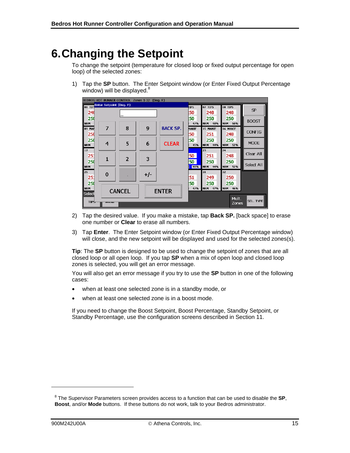# <span id="page-19-0"></span>**6.Changing the Setpoint**

To change the setpoint (temperature for closed loop or fixed output percentage for open loop) of the selected zones:

1) Tap the **SP** button. The Enter Setpoint window (or Enter Fixed Output Percentage window) will be displayed.<sup>8</sup>



- 2) Tap the desired value. If you make a mistake, tap **Back SP.** [back space] to erase one number or **Clear** to erase all numbers.
- 3) Tap **Enter**. The Enter Setpoint window (or Enter Fixed Output Percentage window) will close, and the new setpoint will be displayed and used for the selected zones(s).

**Tip**: The **SP** button is designed to be used to change the setpoint of zones that are all closed loop or all open loop. If you tap **SP** when a mix of open loop and closed loop zones is selected, you will get an error message.

You will also get an error message if you try to use the **SP** button in one of the following cases:

- when at least one selected zone is in a standby mode, or
- when at least one selected zone is in a boost mode.

If you need to change the Boost Setpoint, Boost Percentage, Standby Setpoint, or Standby Percentage, use the configuration screens described in Section [11.](#page-30-0)

-

<sup>8</sup> The Supervisor Parameters screen provides access to a function that can be used to disable the **SP**, **Boost**, and/or **Mode** buttons. If these buttons do not work, talk to your Bedros administrator.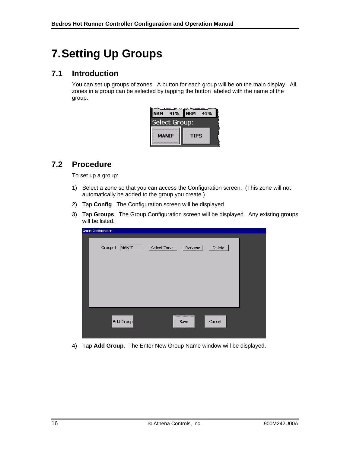# <span id="page-20-0"></span>**7.Setting Up Groups**

# <span id="page-20-1"></span>**7.1 Introduction**

You can set up groups of zones. A button for each group will be on the main display. All zones in a group can be selected by tapping the button labeled with the name of the group.

| <b>NRM</b>    | 41% NRM<br>41% |  |
|---------------|----------------|--|
| Select Group: |                |  |
| <b>MANIF</b>  | <b>TIPS</b>    |  |

# <span id="page-20-2"></span>**7.2 Procedure**

To set up a group:

- 1) Select a zone so that you can access the Configuration screen. (This zone will not automatically be added to the group you create.)
- 2) Tap **Config**. The Configuration screen will be displayed.
- 3) Tap **Groups**. The Group Configuration screen will be displayed. Any existing groups will be listed.

| <b>Group Configuration</b> |                        |        |  |
|----------------------------|------------------------|--------|--|
| Group 1<br>MANIF           | Select Zones<br>Rename | Delete |  |
|                            |                        |        |  |
|                            |                        |        |  |
|                            |                        |        |  |
|                            |                        |        |  |
|                            |                        |        |  |
| Add Group                  | Save                   | Cancel |  |
|                            |                        |        |  |

4) Tap **Add Group**. The Enter New Group Name window will be displayed.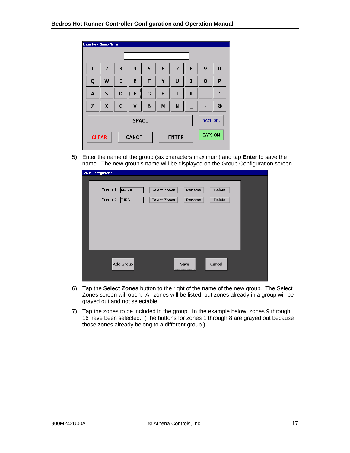| <b>Enter New Group Name</b> |                                                                 |   |                |   |   |                |   |                 |            |
|-----------------------------|-----------------------------------------------------------------|---|----------------|---|---|----------------|---|-----------------|------------|
|                             |                                                                 |   |                |   |   |                |   |                 |            |
| $\mathbf{1}$                | $\overline{2}$                                                  | 3 | $\overline{4}$ | 5 | 6 | $\overline{7}$ | 8 | 9               | 0          |
| Q                           | W                                                               | E | R              | T | Υ | U              | I | O               | P          |
| A                           | S                                                               | D | F              | G | H | J              | K | L               | п          |
| Z                           | X                                                               | C | v              | B | M | N              |   |                 | $\bf \Phi$ |
|                             |                                                                 |   | <b>SPACE</b>   |   |   |                |   | <b>BACK SP.</b> |            |
|                             | <b>CAPS ON</b><br><b>CANCEL</b><br><b>CLEAR</b><br><b>ENTER</b> |   |                |   |   |                |   |                 |            |

5) Enter the name of the group (six characters maximum) and tap **Enter** to save the name. The new group's name will be displayed on the Group Configuration screen.

| <b>Group Configuration</b>                 |                              |                  |                  |  |
|--------------------------------------------|------------------------------|------------------|------------------|--|
| Group 1<br>MANIF<br>Group 2<br><b>TIPS</b> | Select Zones<br>Select Zones | Rename<br>Rename | Delete<br>Delete |  |
| Add Group                                  |                              | Save             | Cancel           |  |

- 6) Tap the **Select Zones** button to the right of the name of the new group. The Select Zones screen will open. All zones will be listed, but zones already in a group will be grayed out and not selectable.
- 7) Tap the zones to be included in the group. In the example below, zones 9 through 16 have been selected. (The buttons for zones 1 through 8 are grayed out because those zones already belong to a different group.)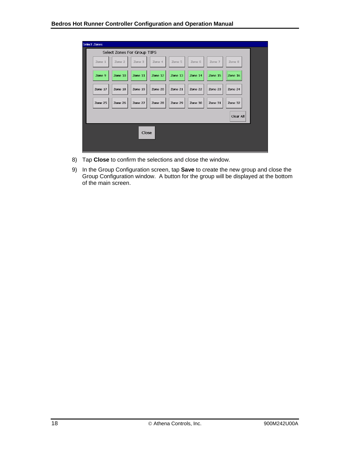| <b>Select Zones</b> |                             |         |         |         |         |         |           |  |  |  |
|---------------------|-----------------------------|---------|---------|---------|---------|---------|-----------|--|--|--|
|                     | Select Zones For Group TIPS |         |         |         |         |         |           |  |  |  |
| Zone 1              | Zone 2                      | Zone 3  | Zone 4  | Zone 5  | Zone 6  | Zone 7  | Zone 8    |  |  |  |
| Zone 9              | Zone 10                     | Zone 11 | Zone 12 | Zone 13 | Zone 14 | Zone 15 | Zone 16   |  |  |  |
| Zone 17             | Zone 18                     | Zone 19 | Zone 20 | Zone 21 | Zone 22 | Zone 23 | Zone 24   |  |  |  |
| Zone 25             | Zone 26                     | Zone 27 | Zone 28 | Zone 29 | Zone 30 | Zone 31 | Zone 32   |  |  |  |
|                     |                             |         |         |         |         |         | Clear All |  |  |  |
| Close               |                             |         |         |         |         |         |           |  |  |  |

- 8) Tap **Close** to confirm the selections and close the window.
- 9) In the Group Configuration screen, tap **Save** to create the new group and close the Group Configuration window. A button for the group will be displayed at the bottom of the main screen.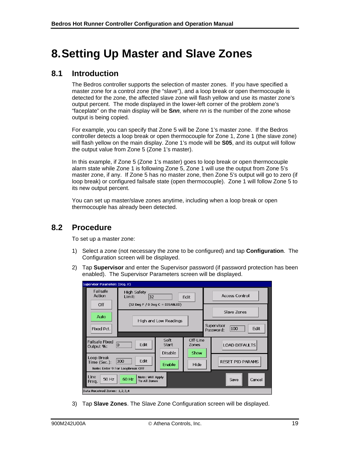# <span id="page-23-0"></span>**8.Setting Up Master and Slave Zones**

## <span id="page-23-1"></span>**8.1 Introduction**

The Bedros controller supports the selection of master zones. If you have specified a master zone for a control zone (the "slave"), and a loop break or open thermocouple is detected for the zone, the affected slave zone will flash yellow and use its master zone's output percent. The mode displayed in the lower-left corner of the problem zone's "faceplate" on the main display will be **S***nn,* where *nn* is the number of the zone whose output is being copied.

For example, you can specify that Zone 5 will be Zone 1's master zone. If the Bedros controller detects a loop break or open thermocouple for Zone 1, Zone 1 (the slave zone) will flash yellow on the main display. Zone 1's mode will be **S05**, and its output will follow the output value from Zone 5 (Zone 1's master).

In this example, if Zone 5 (Zone 1's master) goes to loop break or open thermocouple alarm state while Zone 1 is following Zone 5, Zone 1 will use the output from Zone 5's master zone, if any. If Zone 5 has no master zone, then Zone 5's output will go to zero (if loop break) or configured failsafe state (open thermocouple). Zone 1 will follow Zone 5 to its new output percent.

You can set up master/slave zones anytime, including when a loop break or open thermocouple has already been detected.

# <span id="page-23-2"></span>**8.2 Procedure**

To set up a master zone:

- 1) Select a zone (not necessary the zone to be configured) and tap **Configuration**. The Configuration screen will be displayed.
- 2) Tap **Supervisor** and enter the Supervisor password (if password protection has been enabled). The Supervisor Parameters screen will be displayed.

| <b>Supervisor Parameters (Deg. F)</b>                                |                                     |                          |                   |                         |                                        |  |  |  |  |  |
|----------------------------------------------------------------------|-------------------------------------|--------------------------|-------------------|-------------------------|----------------------------------------|--|--|--|--|--|
| Failsafe<br>Action                                                   | High Safety<br>32<br>Limit:         | Edit                     |                   | <b>Access Control</b>   |                                        |  |  |  |  |  |
| Off                                                                  | $(32$ Deq F $/$ 0 Deq C = DISABLED) |                          |                   |                         | Slave Zones                            |  |  |  |  |  |
| Auto                                                                 |                                     | High and Low Readings    |                   |                         |                                        |  |  |  |  |  |
| Fixed Pct.                                                           |                                     |                          |                   |                         | Supervisor<br>100<br>Edit<br>Password: |  |  |  |  |  |
| <b>Failsafe Fixed</b><br>10<br>Output %:                             | Edit                                | Soft<br>Start<br>Disable | Off-Line<br>Zones |                         | <b>LOAD DEFAULTS</b>                   |  |  |  |  |  |
| Loop Break<br>300<br>Time (Sec.):<br>Note: Enter 9 For Loopbreak OFF | Edit                                | Show<br>Hide             |                   | <b>RESET PID PARAMS</b> |                                        |  |  |  |  |  |
| Line<br>50 Hz<br>60 Hz<br>Freq.                                      | Note: Will Apply<br>To All Zones    |                          |                   |                         | Save<br>Cancel                         |  |  |  |  |  |
| Data Received Zones: 1,2,3,4                                         |                                     |                          |                   |                         |                                        |  |  |  |  |  |

3) Tap **Slave Zones**. The Slave Zone Configuration screen will be displayed.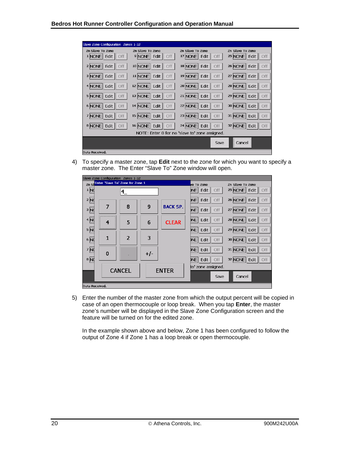| Slave Zone Configuration Zones 1-32 |                                    |                                                |                                               |
|-------------------------------------|------------------------------------|------------------------------------------------|-----------------------------------------------|
| Zn Slave To Zone                    | Zn Slave To Zone                   | Zn Slave To Zone                               | Zn Slave To Zone                              |
| $1$ NONE<br>Edit<br>Off             | 9 NONE<br>Edit<br>Off              | 17 NONE<br>Edit<br>Off                         | 25 NONE<br>$\parallel$ Edit<br>Off            |
| 2 NONE Edit<br>Off                  | 10 NONE<br>Edit $  $<br>Off        | 18 NONE<br>Edit<br>Off                         | 26 NONE   Edit  <br>Off                       |
| 3 NONE   Edit  <br>Off              | $11$ NONE<br>Edit $\ $<br>Off      | $19$ NONE<br>Edit<br>Off                       | $27$ NONE $\vert$ Edit $\vert$<br>Off         |
| Edit II<br>4 NONE<br>Off            | 12 NONE<br>Edit $  $<br>Off        | 20 NONE<br>Edit II<br>Off                      | $28$ NONE $\parallel$ Edit $\parallel$<br>Off |
| 5 NONE Edit<br>Off                  | 13 NONE<br>Edit $  $<br>Off        | $21$ NONE $\parallel$ Edit $\parallel$<br>Off  | $29$ NONE<br>Edit   <br>Off                   |
| 6 NONE   Edit  <br><b>Off</b>       | 14 NONE<br>Edit $  $<br><b>Off</b> | <b>22 NONE</b><br>Edit<br>Off                  | 30 NONE   Edit  <br>Off                       |
| 7 NONE   Edit  <br>Off              | 15 NONE<br>Edit $  $<br>Off        | 23 NONE<br>Edit<br>Off                         | 31 NONE   Edit  <br>Off                       |
| 8 NONE   Edit  <br>Off              | 16   NONE    <br>Edit II<br>Off    | $24$ NONE<br>Edit II<br>Off                    | $32$ NONE Edit $\parallel$<br>Off             |
|                                     |                                    | NOTE: Enter 0 for no 'slave to' zone assigned. |                                               |
|                                     |                                    | Save                                           | Cancel                                        |
| Data Received.                      |                                    |                                                |                                               |

4) To specify a master zone, tap **Edit** next to the zone for which you want to specify a master zone. The Enter "Slave To" Zone window will open.

|                | Slave Zone Configuration Zones 1-32 |                |       |                 |                               |                        |
|----------------|-------------------------------------|----------------|-------|-----------------|-------------------------------|------------------------|
| Zn Sl          | Enter 'Slave To' Zone for Zone 1    |                |       |                 | ve To Zone                    | Zn Slave To Zone       |
| 1 N            |                                     | 14             |       |                 | DNE I<br>Edit<br>Off          | 25 NONE   Edit<br>Off  |
| 2 N            |                                     |                |       |                 | Edit<br>Off<br>ME <sup></sup> | 26 NONE<br>Edit<br>Off |
| 3N             | 7                                   | 8              | 9     | <b>BACK SP.</b> | Edit<br>Off<br>DNE            | 27 NONE<br>Edit<br>Off |
| 4N             | 4                                   | 5              | 6     | <b>CLEAR</b>    | ME   Edit<br>Off              | 28 NONE<br>Edit<br>Off |
| 5N             |                                     |                |       |                 | Edit<br><b>NNE</b><br>Off     | 29 NONE<br>Edit<br>Off |
| 6N             | 1                                   | $\overline{2}$ | 3     |                 | Edit<br><b>DNE</b><br>Off     | 30 NONE<br>Edit<br>Off |
| 7N             | $\bf{0}$                            |                | $+/-$ |                 | $N =$<br>Edit<br>Off          | 31 NONE<br>Off<br>Edit |
| $B$ M          |                                     |                |       |                 | <b>DNE</b><br>Edit<br>Off     | 32 NONE Edit<br>Off    |
|                |                                     | <b>CANCEL</b>  |       | <b>ENTER</b>    | to' zone assigned.            |                        |
|                |                                     |                |       |                 | Save                          | Cancel                 |
| Data Received. |                                     |                |       |                 |                               |                        |

5) Enter the number of the master zone from which the output percent will be copied in case of an open thermocouple or loop break. When you tap **Enter**, the master zone's number will be displayed in the Slave Zone Configuration screen and the feature will be turned on for the edited zone.

In the example shown above and below, Zone 1 has been configured to follow the output of Zone 4 if Zone 1 has a loop break or open thermocouple.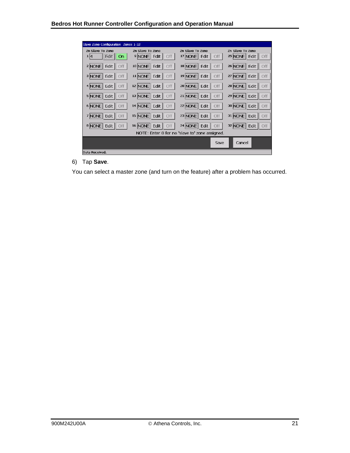| Slave Zone Configuration Zones 1-32 |                               |                                                |                                 |
|-------------------------------------|-------------------------------|------------------------------------------------|---------------------------------|
| Zn Slave To Zone                    | Zn Slave To Zone              | Zn Slave To Zone                               | Zn Slave To Zone                |
| Edit  <br>1 4<br>On                 | 9 NONE<br>Edit<br>Off         | 17 NONE<br>Edit<br>Off                         | 25 NONE<br>Edit  <br>Off        |
| $2$ NONE<br>Edit  <br>Off           | 10 NONE<br>Edit<br>Off        | 18 NONE   Edit<br>Off                          | 26 NONE<br>Edit $  $<br>Off     |
| 3 NONE<br>Edit  <br>Off             | 11 NONE<br><b>Off</b><br>Edit | 19 NONE<br>Edit<br>Off                         | Edit $  $<br>27 NONE<br>Off     |
| Edit  <br>4 NONE<br>Off             | 12 NONE<br>Off<br>Edit        | 20 NONE   Edit<br>Off                          | 28 NONE<br>Edit $  $<br>Off     |
| Edit  <br>$5$ NONE<br>Off           | 13 NONE<br>Edit<br>Off        | 21 NONE Edit<br><b>Off</b>                     | 29 NONE<br>Edit $\parallel$ Off |
| 6 NONE<br>Edit  <br>Off             | 14 NONE<br>Edit<br>Off        | 22 NONE   Edit<br>Off                          | 30 NONE<br>Edit $  $<br>Off     |
| 7 NONE<br>Edit  <br>Off             | 15 NONE<br>Off<br>Edit        | 23 NONE   Edit<br>Off                          | 31 NONE<br>Edit $\parallel$ Off |
| 8 NONE<br>Edit  <br><b>Off</b>      | 16 NONE<br>Edit<br>Off        | 24 NONE   Edit<br><b>Off</b>                   | 32 NONE<br>Edit $\parallel$ Off |
|                                     |                               | NOTE: Enter 0 for no 'slave to' zone assigned. |                                 |
|                                     |                               | Save                                           | Cancel                          |
| Data Received.                      |                               |                                                |                                 |

6) Tap **Save**.

You can select a master zone (and turn on the feature) after a problem has occurred.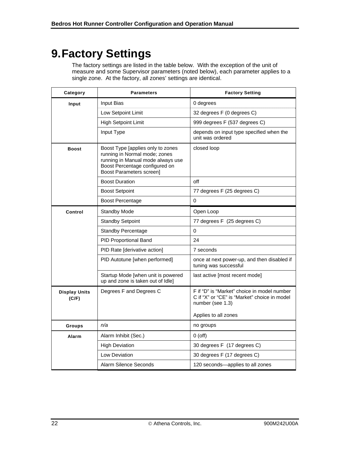# <span id="page-26-0"></span>**9.Factory Settings**

The factory settings are listed in the table below. With the exception of the unit of measure and some Supervisor parameters (noted below), each parameter applies to a single zone. At the factory, all zones' settings are identical.

| Category                      | <b>Parameters</b>                                                                                                                                                            | <b>Factory Setting</b>                                                                                          |
|-------------------------------|------------------------------------------------------------------------------------------------------------------------------------------------------------------------------|-----------------------------------------------------------------------------------------------------------------|
| Input                         | <b>Input Bias</b>                                                                                                                                                            | 0 degrees                                                                                                       |
|                               | Low Setpoint Limit                                                                                                                                                           | 32 degrees F (0 degrees C)                                                                                      |
|                               | High Setpoint Limit                                                                                                                                                          | 999 degrees F (537 degrees C)                                                                                   |
|                               | Input Type                                                                                                                                                                   | depends on input type specified when the<br>unit was ordered                                                    |
| <b>Boost</b>                  | Boost Type [applies only to zones<br>running in Normal mode; zones<br>running in Manual mode always use<br>Boost Percentage configured on<br><b>Boost Parameters screen]</b> | closed loop                                                                                                     |
|                               | <b>Boost Duration</b>                                                                                                                                                        | off                                                                                                             |
|                               | <b>Boost Setpoint</b>                                                                                                                                                        | 77 degrees F (25 degrees C)                                                                                     |
|                               | <b>Boost Percentage</b>                                                                                                                                                      | 0                                                                                                               |
| Control                       | <b>Standby Mode</b>                                                                                                                                                          | Open Loop                                                                                                       |
|                               | <b>Standby Setpoint</b>                                                                                                                                                      | 77 degrees F (25 degrees C)                                                                                     |
|                               | <b>Standby Percentage</b>                                                                                                                                                    | 0                                                                                                               |
|                               | PID Proportional Band                                                                                                                                                        | 24                                                                                                              |
|                               | PID Rate [derivative action]                                                                                                                                                 | 7 seconds                                                                                                       |
|                               | PID Autotune [when performed]                                                                                                                                                | once at next power-up, and then disabled if<br>tuning was successful                                            |
|                               | Startup Mode [when unit is powered<br>up and zone is taken out of Idle]                                                                                                      | last active [most recent mode]                                                                                  |
| <b>Display Units</b><br>(C/F) | Degrees F and Degrees C                                                                                                                                                      | F if "D" is "Market" choice in model number<br>C if "X" or "CE" is "Market" choice in model<br>number (see 1.3) |
|                               |                                                                                                                                                                              | Applies to all zones                                                                                            |
| Groups                        | n/a                                                                                                                                                                          | no groups                                                                                                       |
| Alarm                         | Alarm Inhibit (Sec.)                                                                                                                                                         | $0$ (off)                                                                                                       |
|                               | <b>High Deviation</b>                                                                                                                                                        | 30 degrees F (17 degrees C)                                                                                     |
|                               | Low Deviation                                                                                                                                                                | 30 degrees F (17 degrees C)                                                                                     |
|                               | Alarm Silence Seconds                                                                                                                                                        | 120 seconds-applies to all zones                                                                                |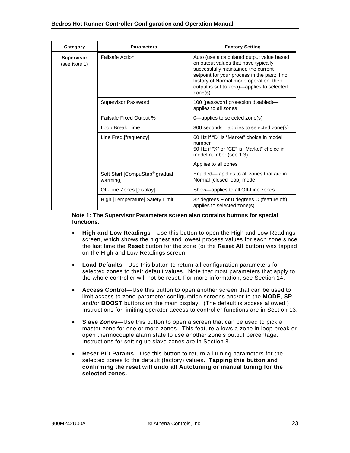| Category                          | <b>Parameters</b>                                     | <b>Factory Setting</b>                                                                                                                                                                                                                                                      |
|-----------------------------------|-------------------------------------------------------|-----------------------------------------------------------------------------------------------------------------------------------------------------------------------------------------------------------------------------------------------------------------------------|
| <b>Supervisor</b><br>(see Note 1) | <b>Failsafe Action</b>                                | Auto (use a calculated output value based<br>on output values that have typically<br>successfully maintained the current<br>setpoint for your process in the past; if no<br>history of Normal mode operation, then<br>output is set to zero)—applies to selected<br>zone(s) |
|                                   | Supervisor Password                                   | 100 (password protection disabled)-<br>applies to all zones                                                                                                                                                                                                                 |
|                                   | <b>Failsafe Fixed Output %</b>                        | 0—applies to selected zone(s)                                                                                                                                                                                                                                               |
|                                   | Loop Break Time                                       | 300 seconds—applies to selected zone(s)                                                                                                                                                                                                                                     |
|                                   | Line Freq.[frequency]                                 | 60 Hz if "D" is "Market" choice in model<br>number<br>50 Hz if "X" or "CE" is "Market" choice in<br>model number (see 1.3)                                                                                                                                                  |
|                                   |                                                       | Applies to all zones                                                                                                                                                                                                                                                        |
|                                   | Soft Start [CompuStep <sup>®</sup> gradual<br>warming | Enabled— applies to all zones that are in<br>Normal (closed loop) mode                                                                                                                                                                                                      |
|                                   | Off-Line Zones [display]                              | Show-applies to all Off-Line zones                                                                                                                                                                                                                                          |
|                                   | High [Temperature] Safety Limit                       | 32 degrees F or 0 degrees C (feature off)-<br>applies to selected zone(s)                                                                                                                                                                                                   |

**Note 1: The Supervisor Parameters screen also contains buttons for special functions.** 

- **High and Low Readings**—Use this button to open the High and Low Readings screen, which shows the highest and lowest process values for each zone since the last time the **Reset** button for the zone (or the **Reset All** button) was tapped on the High and Low Readings screen.
- **Load Defaults**—Use this button to return all configuration parameters for selected zones to their default values. Note that most parameters that apply to the whole controller will not be reset. For more information, see Section [14.](#page-46-0)
- **Access Control**—Use this button to open another screen that can be used to limit access to zone-parameter configuration screens and/or to the **MODE**, **SP**, and/or **BOOST** buttons on the main display. (The default is access allowed.) Instructions for limiting operator access to controller functions are in Section [13.](#page-44-0)
- **Slave Zones**—Use this button to open a screen that can be used to pick a master zone for one or more zones. This feature allows a zone in loop break or open thermocouple alarm state to use another zone's output percentage. Instructions for setting up slave zones are in Section [8](#page-23-0).
- **Reset PID Params**—Use this button to return all tuning parameters for the selected zones to the default (factory) values. **Tapping this button and confirming the reset will undo all Autotuning or manual tuning for the selected zones.**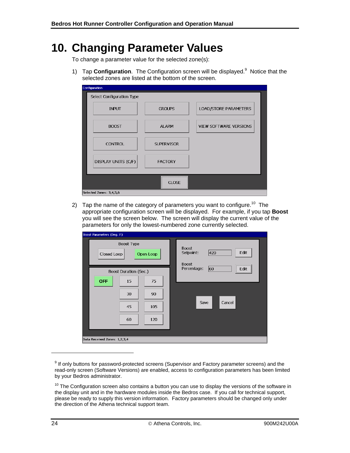# <span id="page-28-0"></span>**10. Changing Parameter Values**

To change a parameter value for the selected zone(s):

1) Tap **Configuration**. The Configuration screen will be displayed.<sup>9</sup> Notice that the selected zones are listed at the bottom of the screen.

| Configuration             |                   |                        |
|---------------------------|-------------------|------------------------|
| Select Configuration Type |                   |                        |
| <b>INPUT</b>              | <b>GROUPS</b>     | LOAD/STORE PARAMETERS  |
| <b>BOOST</b>              | <b>ALARM</b>      | VIEW SOFTWARE VERSIONS |
| <b>CONTROL</b>            | <b>SUPERVISOR</b> |                        |
| DISPLAY UNITS (C/F)       | <b>FACTORY</b>    |                        |
|                           |                   |                        |
|                           | <b>CLOSE</b>      |                        |
| Selected Zones: 3,4,5,6   |                   |                        |

2) Tap the name of the category of parameters you want to configure.<sup>10</sup> The appropriate configuration screen will be displayed. For example, if you tap **Boost** you will see the screen below. The screen will display the current value of the parameters for only the lowest-numbered zone currently selected.

| Boost Parameters (Deg. F)                                                                    |                                                          |
|----------------------------------------------------------------------------------------------|----------------------------------------------------------|
| <b>Boost Type</b><br>Closed Loop<br>Open Loop                                                | <b>Boost</b><br>420<br>Setpoint:<br>Edit<br><b>Boost</b> |
| <b>Boost Duration (Sec.)</b><br><b>OFF</b><br>15<br>75<br>30<br>90<br>45<br>105<br>60<br>120 | Percentage:<br>60<br>Edit<br>Cancel<br>Save              |
| Data Received Zones: 1,2,3,4                                                                 |                                                          |

-

 $9$  If only buttons for password-protected screens (Supervisor and Factory parameter screens) and the read-only screen (Software Versions) are enabled, access to configuration parameters has been limited by your Bedros administrator.

 $10$  The Configuration screen also contains a button you can use to display the versions of the software in the display unit and in the hardware modules inside the Bedros case. If you call for technical support, please be ready to supply this version information. Factory parameters should be changed only under the direction of the Athena technical support team.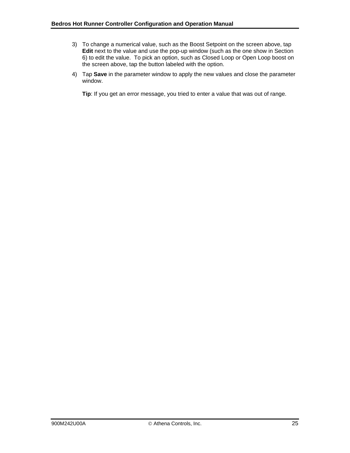- 3) To change a numerical value, such as the Boost Setpoint on the screen above, tap **Edit** next to the value and use the pop-up window (such as the one show in Section 6) to edit the value. To pick an option, such as Closed Loop or Open Loop boost on the screen above, tap the button labeled with the option.
- 4) Tap **Save** in the parameter window to apply the new values and close the parameter window.

**Tip**: If you get an error message, you tried to enter a value that was out of range.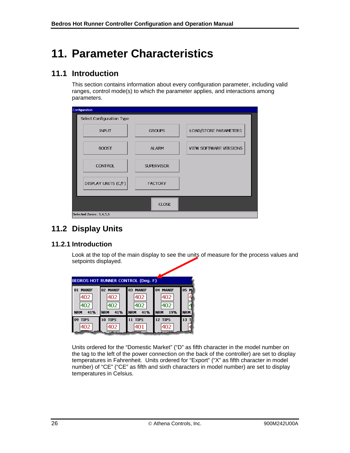# <span id="page-30-0"></span>**11. Parameter Characteristics**

## <span id="page-30-1"></span>**11.1 Introduction**

This section contains information about every configuration parameter, including valid ranges, control mode(s) to which the parameter applies, and interactions among parameters.

| Configuration             |                   |                        |
|---------------------------|-------------------|------------------------|
| Select Configuration Type |                   |                        |
| <b>INPUT</b>              | <b>GROUPS</b>     | LOAD/STORE PARAMETERS  |
| <b>BOOST</b>              | <b>ALARM</b>      | VIEW SOFTWARE VERSIONS |
| <b>CONTROL</b>            | <b>SUPERVISOR</b> |                        |
| DISPLAY UNITS (C/F)       | <b>FACTORY</b>    |                        |
|                           | <b>CLOSE</b>      |                        |
| Selected Zones: 3,4,5,6   |                   |                        |

# <span id="page-30-2"></span>**11.2 Display Units**

### **11.2.1 Introduction**

Look at the top of the main display to see the units of measure for the process values and setpoints displayed.

| BEDROS HOT RUNNER CONTROL (Deg. F)                    |                                             |                                             |                                             |                    |  |  |  |
|-------------------------------------------------------|---------------------------------------------|---------------------------------------------|---------------------------------------------|--------------------|--|--|--|
| <b>MANIF</b><br>01<br>402<br>402<br>41%<br><b>NRM</b> | 02 MANIF<br>402<br>402<br>41%<br><b>NRM</b> | 03 MANIF<br>402<br>402<br><b>NRM</b><br>41% | 04 MANIF<br>402<br>402<br><b>NRM</b><br>19% | 05 M<br><b>NRM</b> |  |  |  |
| <b>09 TIPS</b><br>402                                 | <b>10 TIPS</b><br>402                       | <b>11 TIPS</b><br>401                       | 12 TIPS<br>402                              | 13                 |  |  |  |

Units ordered for the "Domestic Market" ("D" as fifth character in the model number on the tag to the left of the power connection on the back of the controller) are set to display temperatures in Fahrenheit. Units ordered for "Export" ("X" as fifth character in model number) of "CE" ("CE" as fifth and sixth characters in model number) are set to display temperatures in Celsius.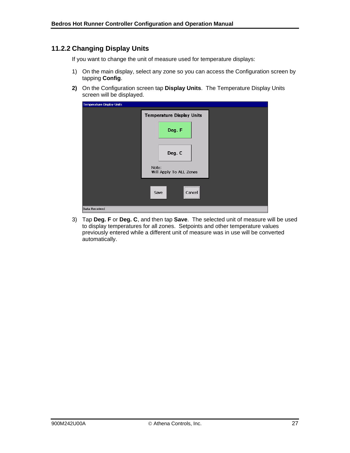### **11.2.2 Changing Display Units**

If you want to change the unit of measure used for temperature displays:

- 1) On the main display, select any zone so you can access the Configuration screen by tapping **Config**.
- **2)** On the Configuration screen tap **Display Units**. The Temperature Display Units screen will be displayed.

| <b>Temperature Display Units</b> |                                  |  |
|----------------------------------|----------------------------------|--|
|                                  | <b>Temperature Display Units</b> |  |
|                                  | Deg. F                           |  |
|                                  |                                  |  |
|                                  | Deg. C                           |  |
|                                  | Note:<br>Will Apply To ALL Zones |  |
|                                  | Cancel<br>Save                   |  |
| Data Received                    |                                  |  |

3) Tap **Deg. F** or **Deg. C**, and then tap **Save**. The selected unit of measure will be used to display temperatures for all zones. Setpoints and other temperature values previously entered while a different unit of measure was in use will be converted automatically.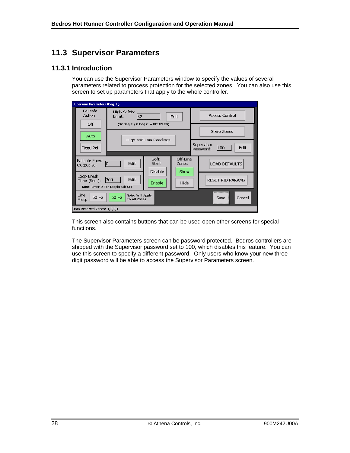# <span id="page-32-0"></span>**11.3 Supervisor Parameters**

### **11.3.1 Introduction**

You can use the Supervisor Parameters window to specify the values of several parameters related to process protection for the selected zones. You can also use this screen to set up parameters that apply to the whole controller.

| Supervisor Parameters (Deg. F)                                                                            |                                     |      |                           |             |                                        |
|-----------------------------------------------------------------------------------------------------------|-------------------------------------|------|---------------------------|-------------|----------------------------------------|
| <b>Failsafe</b><br>Action                                                                                 | <b>High Safety</b><br>32<br>Limit:  | Edit | <b>Access Control</b>     |             |                                        |
| Off<br>Auto                                                                                               | $(32$ Deq F $/$ 0 Deq C = DISABLED) |      |                           | Slave Zones |                                        |
| Fixed Pct.                                                                                                | High and Low Readings               |      |                           |             | Supervisor<br>100<br>Edit<br>Password: |
| Soft<br><b>Failsafe Fixed</b><br>Edit<br>Start<br>10<br>Output %:                                         |                                     |      | Off-Line<br>Zones<br>Show |             | <b>LOAD DEFAULTS</b>                   |
| Disable<br>Loop Break<br>Edit<br>300<br>Time (Sec.):<br>Enable<br>Hide<br>Note: Enter 9 For Loopbreak OFF |                                     |      |                           |             | <b>RESET PID PARAMS</b>                |
| Line<br>Note: Will Apply<br>60 Hz<br>50 Hz<br><b>To All Zones</b><br>Freq.                                |                                     |      |                           |             | Cancel<br>Save                         |
| Data Received Zones: 1,2,3,4                                                                              |                                     |      |                           |             |                                        |

This screen also contains buttons that can be used open other screens for special functions.

The Supervisor Parameters screen can be password protected. Bedros controllers are shipped with the Supervisor password set to 100, which disables this feature. You can use this screen to specify a different password. Only users who know your new threedigit password will be able to access the Supervisor Parameters screen.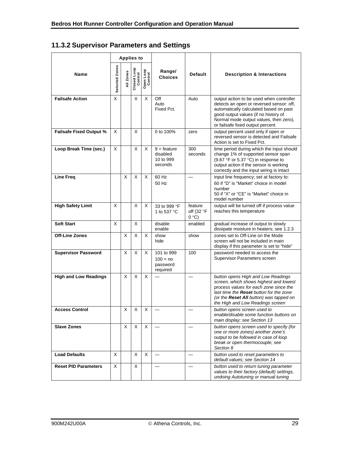# **11.3.2 Supervisor Parameters and Settings**

|                                | <b>Applies to</b> |             |                        |                      |                                                   |                                       |                                                                                                                                                                                                                                                         |
|--------------------------------|-------------------|-------------|------------------------|----------------------|---------------------------------------------------|---------------------------------------|---------------------------------------------------------------------------------------------------------------------------------------------------------------------------------------------------------------------------------------------------------|
| Name                           | Selected Zones    | All Zones   | Closed Loop<br>Control | Open Loop<br>Control | Range/<br><b>Choices</b>                          | <b>Default</b>                        | <b>Description &amp; Interactions</b>                                                                                                                                                                                                                   |
| <b>Failsafe Action</b>         | X                 |             | X                      | X                    | Off<br>Auto<br>Fixed Pct.                         | Auto                                  | output action to be used when controller<br>detects an open or reversed sensor: off,<br>automatically calculated based on past<br>good output values (if no history of<br>Normal mode output values, then zero),<br>or failsafe fixed output percent    |
| <b>Failsafe Fixed Output %</b> | X                 |             | X                      |                      | 0 to 100%                                         | zero                                  | output percent used only if open or<br>reversed sensor is detected and Failsafe<br>Action is set to Fixed Pct.                                                                                                                                          |
| Loop Break Time (sec.)         | X                 |             | X                      | X                    | $9 =$ feature<br>disabled<br>10 to 999<br>seconds | 300<br>seconds                        | time period during which the input should<br>change 1% of supported sensor span<br>(9.67 $\degree$ F or 5.37 $\degree$ C) in response to<br>output action if the sensor is working<br>correctly and the input wiring is intact                          |
| Line Freq.                     |                   | X           | X                      | X                    | 60 Hz<br>50 Hz                                    |                                       | input line frequency; set at factory to:<br>60 if "D" is "Market" choice in model<br>number<br>50 if "X" or "CE" is "Market" choice in<br>model number                                                                                                  |
| <b>High Safety Limit</b>       | X                 |             | X                      | X                    | 33 to 999 °F<br>1 to 537 °C                       | feature<br>off (32 $\degree$ F<br>0°C | output will be turned off if process value<br>reaches this temperature                                                                                                                                                                                  |
| <b>Soft Start</b>              | X                 |             | X                      |                      | disable<br>enable                                 | enabled                               | gradual increase of output to slowly<br>dissipate moisture in heaters; see 1.2.3                                                                                                                                                                        |
| <b>Off-Line Zones</b>          |                   | X           | X                      | X                    | show<br>hide                                      | show                                  | zones set to Off-Line on the Mode<br>screen will not be included in main<br>display if this parameter is set to "hide"                                                                                                                                  |
| <b>Supervisor Password</b>     |                   | X           | X                      | X                    | 101 to 999<br>$100 = no$<br>password<br>required  | 100                                   | password needed to access the<br>Supervisor Parameters screen                                                                                                                                                                                           |
| <b>High and Low Readings</b>   |                   | X           | X                      | X                    |                                                   |                                       | button opens High and Low Readings<br>screen, which shows highest and lowest<br>process values for each zone since the<br>last time the <b>Reset</b> button for the zone<br>(or the Reset All button) was tapped on<br>the High and Low Readings screen |
| <b>Access Control</b>          |                   | $\mathsf X$ | $\mathsf X$            | $\sf X$              |                                                   |                                       | button opens screen used to<br>enable/disable some function buttons on<br>main display; see Section 13                                                                                                                                                  |
| <b>Slave Zones</b>             |                   | X           | X                      | X                    |                                                   |                                       | button opens screen used to specify (for<br>one or more zones) another zone's<br>output to be followed in case of loop<br>break or open thermocouple; see<br>Section 8                                                                                  |
| <b>Load Defaults</b>           | X                 |             | X                      | X                    |                                                   |                                       | button used to reset parameters to<br>default values; see Section 14                                                                                                                                                                                    |
| <b>Reset PID Parameters</b>    | Χ                 |             | X                      |                      |                                                   |                                       | button used to return tuning parameter<br>values to their factory (default) settings,<br>undoing Autotuning or manual tuning                                                                                                                            |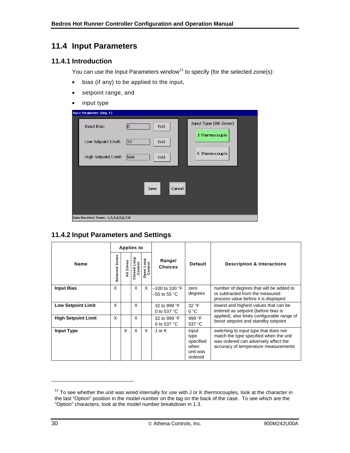# <span id="page-34-0"></span>**11.4 Input Parameters**

### **11.4.1 Introduction**

You can use the Input Parameters window<sup>11</sup> to specify (for the selected zone(s):

- bias (if any) to be applied to the input,
- setpoint range, and
- input type

| Input Parameters (Deg. F)            |                     |                        |  |
|--------------------------------------|---------------------|------------------------|--|
| Input Bias:                          | $ 0\rangle$<br>Edit | Input Type (All Zones) |  |
| Low Setpoint Limit:                  | 32 <br>Edit         | J Thermocouple         |  |
| High Setpoint Limit:                 | 999 <br>Edit        | K Thermocouple         |  |
|                                      | Save                | <br>Cancel             |  |
| Data Received Zones: 1,2,3,4,5,6,7,8 |                     |                        |  |

### **11.4.2 Input Parameters and Settings**

|                            |                   |                    | <b>Applies to</b>           |                      |                                      |                                                           |                                                                                                                                                                 |  |
|----------------------------|-------------------|--------------------|-----------------------------|----------------------|--------------------------------------|-----------------------------------------------------------|-----------------------------------------------------------------------------------------------------------------------------------------------------------------|--|
| <b>Name</b>                | Zones<br>Selected | Zones<br>$\bar{a}$ | 8<br>Control<br>ۇ<br>Closed | Open Loop<br>Control | Range/<br><b>Choices</b>             | <b>Default</b>                                            | <b>Description &amp; Interactions</b>                                                                                                                           |  |
| <b>Input Bias</b>          | X                 |                    | X                           | X                    | $-100$ to 100 °F<br>–55 to 55 °C.    | zero<br>degrees                                           | number of degrees that will be added to<br>or subtracted from the measured<br>process value before it is displayed                                              |  |
| <b>Low Setpoint Limit</b>  | X                 |                    | X                           |                      | 32 to 999 °F<br>0 to 537 $\degree$ C | 32 °F<br>$0^{\circ}$ C                                    | lowest and highest values that can be<br>entered as setpoint (before bias is                                                                                    |  |
| <b>High Setpoint Limit</b> | X                 |                    | X                           |                      | 32 to 999 °F<br>0 to 537 $\degree$ C | 999 °F<br>537 °C                                          | applied); also limits configurable range of<br>boost setpoint and standby setpoint                                                                              |  |
| <b>Input Type</b>          |                   | X                  | X                           | X                    | $J$ or $K$                           | input<br>type<br>specified<br>when<br>unit was<br>ordered | switching to input type that does not<br>match the type specified when the unit<br>was ordered can adversely affect the<br>accuracy of temperature measurements |  |

-

 $11$  To see whether the unit was wired internally for use with J or K thermocouples, look at the character in the last "Option" position in the model number on the tag on the back of the case. To see which are the "Option" characters, look at the model number breakdown in 1.3.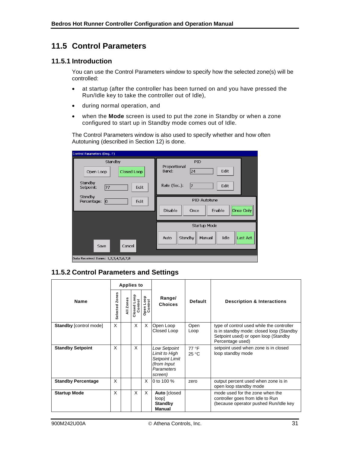# <span id="page-35-0"></span>**11.5 Control Parameters**

#### **11.5.1 Introduction**

You can use the Control Parameters window to specify how the selected zone(s) will be controlled:

- at startup (after the controller has been turned on and you have pressed the Run/Idle key to take the controller out of Idle),
- during normal operation, and
- when the **Mode** screen is used to put the zone in Standby or when a zone configured to start up in Standby mode comes out of Idle.

The Control Parameters window is also used to specify whether and how often Autotuning (described in Section [12\)](#page-40-0) is done.

| Control Parameters (Deg. F)                                                       |                                                                                 |
|-----------------------------------------------------------------------------------|---------------------------------------------------------------------------------|
| Standby<br><b>Closed Loop</b><br>Open Loop<br>Standby<br> 77<br>Edit<br>Setpoint: | <b>PID</b><br>Proportional<br>Edit<br>Band:<br>24<br>Rate (Sec.):<br>Edit<br>17 |
| Standby<br>Percentage:<br>$ 0\rangle$<br>Edit                                     | PID Autotune<br>Once Only<br>Disable<br>Enable<br>Once                          |
| Cancel<br>Save                                                                    | <b>Startup Mode</b><br>Idle<br>Standby<br>Last Act.<br>Auto<br>Manual           |
| Data Received Zones: 1,2,3,4,5,6,7,8                                              |                                                                                 |

### **11.5.2 Control Parameters and Settings**

|                               |                   |           | <b>Applies to</b>      |                      |                                                                                                       |                |                                                                                                                                                   |
|-------------------------------|-------------------|-----------|------------------------|----------------------|-------------------------------------------------------------------------------------------------------|----------------|---------------------------------------------------------------------------------------------------------------------------------------------------|
| <b>Name</b>                   | Zones<br>Selected | All Zones | å<br>Control<br>Closed | Open Loop<br>Control | Range/<br><b>Choices</b>                                                                              | Default        | <b>Description &amp; Interactions</b>                                                                                                             |
| <b>Standby [control mode]</b> | X                 |           | X                      | X                    | Open Loop<br>Closed Loop                                                                              | Open<br>Loop   | type of control used while the controller<br>is in standby mode: closed loop (Standby<br>Setpoint used) or open loop (Standby<br>Percentage used) |
| <b>Standby Setpoint</b>       | X                 |           | X                      |                      | <b>Low Setpoint</b><br>Limit to High<br><b>Setpoint Limit</b><br>(from Input<br>Parameters<br>screen) | 77 °F<br>25 °C | setpoint used when zone is in closed<br>loop standby mode                                                                                         |
| <b>Standby Percentage</b>     | X                 |           |                        | X                    | 0 to 100 %                                                                                            | zero           | output percent used when zone is in<br>open loop standby mode                                                                                     |
| <b>Startup Mode</b>           | X                 |           | X                      | X                    | Auto [closed<br>loop]<br><b>Standby</b><br>Manual                                                     |                | mode used for the zone when the<br>controller goes from Idle to Run<br>(because operator pushed Run/Idle key                                      |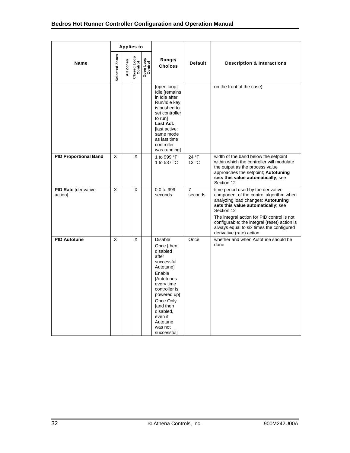|                                 |                | <b>Applies to</b> |                        |                      |                                                                                                                                                                                                                                            |                           |                                                                                                                                                                                                                                                                                                                                                |  |
|---------------------------------|----------------|-------------------|------------------------|----------------------|--------------------------------------------------------------------------------------------------------------------------------------------------------------------------------------------------------------------------------------------|---------------------------|------------------------------------------------------------------------------------------------------------------------------------------------------------------------------------------------------------------------------------------------------------------------------------------------------------------------------------------------|--|
| Name                            | Selected Zones | All Zones         | Closed Loop<br>Control | Open Loop<br>Control | Range/<br><b>Choices</b>                                                                                                                                                                                                                   | <b>Default</b>            | <b>Description &amp; Interactions</b>                                                                                                                                                                                                                                                                                                          |  |
|                                 |                |                   |                        |                      | [open loop]<br>Idle [remains<br>in Idle after<br>Run/Idle key<br>is pushed to<br>set controller<br>to run]<br>Last Act.<br>[last active:<br>same mode<br>as last time<br>controller<br>was running]                                        |                           | on the front of the case)                                                                                                                                                                                                                                                                                                                      |  |
| <b>PID Proportional Band</b>    | X              |                   | X                      |                      | 1 to 999 °F<br>1 to 537 °C                                                                                                                                                                                                                 | 24 °F<br>$13^{\circ}$ C   | width of the band below the setpoint<br>within which the controller will modulate<br>the output as the process value<br>approaches the setpoint; Autotuning<br>sets this value automatically; see<br>Section 12                                                                                                                                |  |
| PID Rate [derivative<br>action] | X              |                   | X                      |                      | 0.0 to 999<br>seconds                                                                                                                                                                                                                      | $\overline{7}$<br>seconds | time period used by the derivative<br>component of the control algorithm when<br>analyzing load changes; Autotuning<br>sets this value automatically; see<br>Section 12<br>The integral action for PID control is not<br>configurable; the integral (reset) action is<br>always equal to six times the configured<br>derivative (rate) action. |  |
| <b>PID Autotune</b>             | X              |                   | X                      |                      | <b>Disable</b><br>Once [then<br>disabled<br>after<br>successful<br>Autotune]<br>Enable<br>[Autotunes<br>every time<br>controller is<br>powered up]<br>Once Only<br>[and then<br>disabled,<br>even if<br>Autotune<br>was not<br>successful] | Once                      | whether and when Autotune should be<br>done                                                                                                                                                                                                                                                                                                    |  |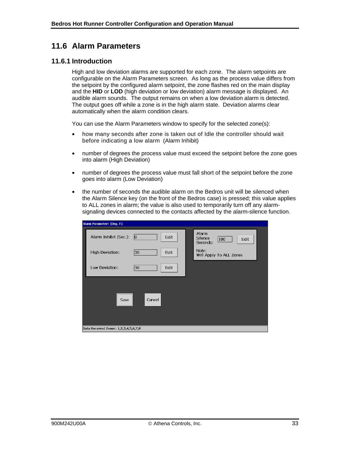## <span id="page-37-0"></span>**11.6 Alarm Parameters**

#### **11.6.1 Introduction**

High and low deviation alarms are supported for each zone. The alarm setpoints are configurable on the Alarm Parameters screen. As long as the process value differs from the setpoint by the configured alarm setpoint, the zone flashes red on the main display and the **HID** or **LOD** (high deviation or low deviation) alarm message is displayed. An audible alarm sounds. The output remains on when a low deviation alarm is detected. The output goes off while a zone is in the high alarm state. Deviation alarms clear automatically when the alarm condition clears.

You can use the Alarm Parameters window to specify for the selected zone(s):

- how many seconds after zone is taken out of Idle the controller should wait before indicating a low alarm (Alarm Inhibit)
- number of degrees the process value must exceed the setpoint before the zone goes into alarm (High Deviation)
- number of degrees the process value must fall short of the setpoint before the zone goes into alarm (Low Deviation)
- the number of seconds the audible alarm on the Bedros unit will be silenced when the Alarm Silence key (on the front of the Bedros case) is pressed; this value applies to ALL zones in alarm; the value is also used to temporarily turn off any alarmsignaling devices connected to the contacts affected by the alarm-silence function.

| Alarm Parameters (Deg. F)                    |                                             |
|----------------------------------------------|---------------------------------------------|
| Alarm Inhibit (Sec.):<br>$ 0\rangle$<br>Edit | Alarm<br>Silence<br>180<br>Edit<br>Seconds: |
| High Deviation:<br>30<br>Edit                | Note:<br>Will Apply To ALL Zones            |
| Low Deviation:<br>30<br>Edit                 |                                             |
| Cancel<br>Save                               |                                             |
| Data Received Zones: 1,2,3,4,5,6,7,8         |                                             |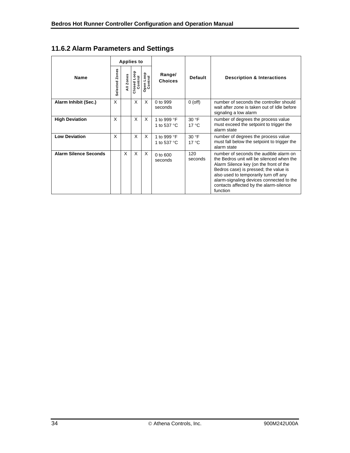|  |  |  | 11.6.2 Alarm Parameters and Settings |  |  |
|--|--|--|--------------------------------------|--|--|
|--|--|--|--------------------------------------|--|--|

|                              | <b>Applies to</b> |           |                          |                      |                                     |                         |                                                                                                                                                                                                                                                                                                                   |  |
|------------------------------|-------------------|-----------|--------------------------|----------------------|-------------------------------------|-------------------------|-------------------------------------------------------------------------------------------------------------------------------------------------------------------------------------------------------------------------------------------------------------------------------------------------------------------|--|
| <b>Name</b>                  | Zones<br>Selected | All Zones | doo<br>Control<br>Closed | Open Loop<br>Control | Range/<br><b>Choices</b>            | Default                 | <b>Description &amp; Interactions</b>                                                                                                                                                                                                                                                                             |  |
| Alarm Inhibit (Sec.)         | X                 |           | X                        | X                    | 0 to 999<br>seconds                 | $0$ (off)               | number of seconds the controller should<br>wait after zone is taken out of Idle before<br>signaling a low alarm                                                                                                                                                                                                   |  |
| <b>High Deviation</b>        | X                 |           | X                        | X                    | 1 to 999 °F<br>1 to 537 °C          | 30 °F<br>$17^{\circ}$ C | number of degrees the process value<br>must exceed the setpoint to trigger the<br>alarm state                                                                                                                                                                                                                     |  |
| <b>Low Deviation</b>         | X                 |           | X                        | X                    | 1 to 999 °F<br>1 to 537 $\degree$ C | 30 °F<br>$17^{\circ}$ C | number of degrees the process value<br>must fall below the setpoint to trigger the<br>alarm state                                                                                                                                                                                                                 |  |
| <b>Alarm Silence Seconds</b> |                   | X         | X                        | X                    | $0$ to $600$<br>seconds             | 120<br>seconds          | number of seconds the audible alarm on<br>the Bedros unit will be silenced when the<br>Alarm Silence key (on the front of the<br>Bedros case) is pressed; the value is<br>also used to temporarily turn off any<br>alarm-signaling devices connected to the<br>contacts affected by the alarm-silence<br>function |  |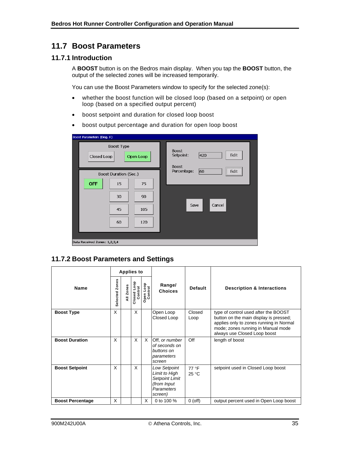## <span id="page-39-0"></span>**11.7 Boost Parameters**

#### **11.7.1 Introduction**

A **BOOST** button is on the Bedros main display. When you tap the **BOOST** button, the output of the selected zones will be increased temporarily.

You can use the Boost Parameters window to specify for the selected zone(s):

- whether the boost function will be closed loop (based on a setpoint) or open loop (based on a specified output percent)
- boost setpoint and duration for closed loop boost
- boost output percentage and duration for open loop boost

| Boost Parameters (Deg. F)                                                             |                                                          |
|---------------------------------------------------------------------------------------|----------------------------------------------------------|
| <b>Boost Type</b><br>Closed Loop<br>Open Loop                                         | <b>Boost</b><br>420<br>Edit<br>Setpoint:<br><b>Boost</b> |
| Boost Duration (Sec.)<br><b>OFF</b><br>15<br>75<br>30<br>90<br>45<br>105<br>60<br>120 | Percentage:<br>60<br>Edit<br>Cancel<br>Save              |
| Data Received Zones: 1,2,3,4                                                          |                                                          |

#### **11.7.2 Boost Parameters and Settings**

|                         |                   |           | <b>Applies to</b>        |                      |                                                                                                       |                         |                                                                                                                                                                                                 |
|-------------------------|-------------------|-----------|--------------------------|----------------------|-------------------------------------------------------------------------------------------------------|-------------------------|-------------------------------------------------------------------------------------------------------------------------------------------------------------------------------------------------|
| <b>Name</b>             | Zones<br>Selected | All Zones | doo<br>Control<br>Closed | Open Loop<br>Control | Range/<br><b>Choices</b>                                                                              | <b>Default</b>          | <b>Description &amp; Interactions</b>                                                                                                                                                           |
| <b>Boost Type</b>       | X                 |           | X                        |                      | Open Loop<br>Closed Loop                                                                              | Closed<br>Loop          | type of control used after the BOOST<br>button on the main display is pressed;<br>applies only to zones running in Normal<br>mode; zones running in Manual mode<br>always use Closed Loop boost |
| <b>Boost Duration</b>   | X                 |           | X                        | X                    | Off. or number<br>of seconds on<br>buttons on<br>parameters<br>screen                                 | Off                     | length of boost                                                                                                                                                                                 |
| <b>Boost Setpoint</b>   | X                 |           | X                        |                      | <b>Low Setpoint</b><br>Limit to High<br><b>Setpoint Limit</b><br>(from Input<br>Parameters<br>screen) | 77 °F<br>$25^{\circ}$ C | setpoint used in Closed Loop boost                                                                                                                                                              |
| <b>Boost Percentage</b> | X                 |           |                          | X                    | 0 to 100 %                                                                                            | $0$ (off)               | output percent used in Open Loop boost                                                                                                                                                          |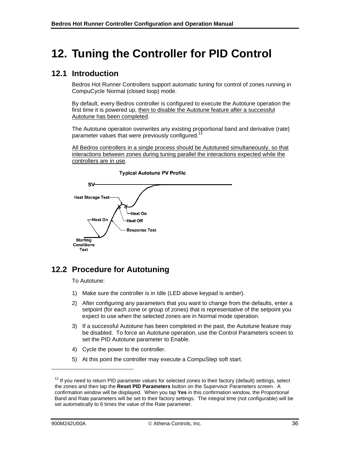# <span id="page-40-0"></span>**12. Tuning the Controller for PID Control**

## <span id="page-40-1"></span>**12.1 Introduction**

Bedros Hot Runner Controllers support automatic tuning for control of zones running in CompuCycle Normal (closed loop) mode.

By default, every Bedros controller is configured to execute the Autotune operation the first time it is powered up, then to disable the Autotune feature after a successful Autotune has been completed.

The Autotune operation overwrites any existing proportional band and derivative (rate) parameter values that were previously configured.<sup>12</sup>

All Bedros controllers in a single process should be Autotuned simultaneously, so that interactions between zones during tuning parallel the interactions expected while the controllers are in use.





# <span id="page-40-2"></span>**12.2 Procedure for Autotuning**

To Autotune:

- 1) Make sure the controller is in Idle (LED above keypad is amber).
- 2) After configuring any parameters that you want to change from the defaults, enter a setpoint (for each zone or group of zones) that is representative of the setpoint you expect to use when the selected zones are in Normal mode operation.
- 3) If a successful Autotune has been completed in the past, the Autotune feature may be disabled. To force an Autotune operation, use the Control Parameters screen to set the PID Autotune parameter to Enable.
- 4) Cycle the power to the controller.
- 5) At this point the controller may execute a CompuStep soft start.

l

 $12$  If vou need to return PID parameter values for selected zones to their factory (default) settings, select the zones and then tap the **Reset PID Parameters** button on the Supervisor Parameters screen. A confirmation window will be displayed. When you tap **Yes** in this confirmation window, the Proportional Band and Rate parameters will be set to their factory settings. The integral time (not configurable) will be set automatically to 6 times the value of the Rate parameter.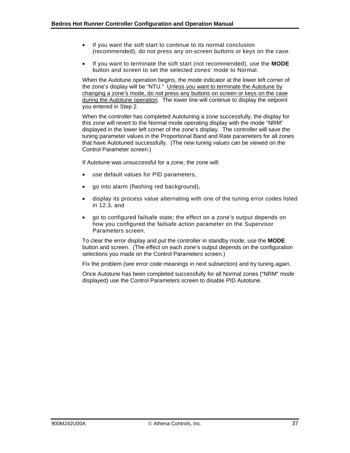- If you want the soft start to continue to its normal conclusion (recommended), do not press any on-screen buttons or keys on the case.
- If you want to terminate the soft start (not recommended), use the **MODE** button and screen to set the selected zones' mode to Normal.

When the Autotune operation begins, the mode indicator at the lower left corner of the zone's display will be "NTU." Unless you want to terminate the Autotune by changing a zone's mode, do not press any buttons on screen or keys on the case during the Autotune operation. The lower line will continue to display the setpoint you entered in Step 2.

When the controller has completed Autotuning a zone successfully, the display for this zone will revert to the Normal mode operating display with the mode "NRM" displayed in the lower left corner of the zone's display. The controller will save the tuning parameter values in the Proportional Band and Rate parameters for all zones that have Autotuned successfully. (The new tuning values can be viewed on the Control Parameter screen.)

If Autotune was unsuccessful for a zone, the zone will:

- use default values for PID parameters,
- go into alarm (flashing red background),
- display its process value alternating with one of the tuning error codes listed in [12.3](#page-42-2), and
- go to configured failsafe state; the effect on a zone's output depends on how you configured the failsafe action parameter on the Supervisor Parameters screen.

To clear the error display and put the controller in standby mode, use the **MODE** button and screen. (The effect on each zone's output depends on the configuration selections you made on the Control Parameters screen.)

Fix the problem (see error code meanings in next subsection) and try tuning again.

Once Autotune has been completed successfully for all Normal zones ("NRM" mode displayed) use the Control Parameters screen to disable PID Autotune.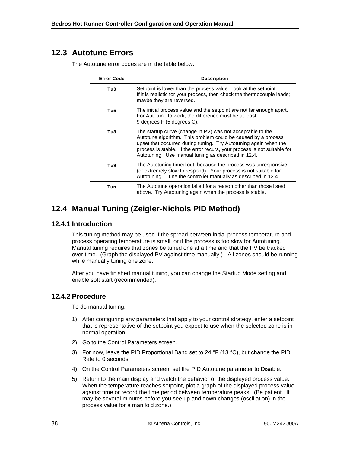# <span id="page-42-0"></span>**12.3 Autotune Errors**

The Autotune error codes are in the table below.

| <b>Error Code</b> | <b>Description</b>                                                                                                                                                                                                                                                                                                                 |
|-------------------|------------------------------------------------------------------------------------------------------------------------------------------------------------------------------------------------------------------------------------------------------------------------------------------------------------------------------------|
| Tu3               | Setpoint is lower than the process value. Look at the setpoint.<br>If it is realistic for your process, then check the thermocouple leads;<br>maybe they are reversed.                                                                                                                                                             |
| Tu <sub>5</sub>   | The initial process value and the setpoint are not far enough apart.<br>For Autotune to work, the difference must be at least<br>9 degrees F (5 degrees C).                                                                                                                                                                        |
| Tu8               | The startup curve (change in PV) was not acceptable to the<br>Autotune algorithm. This problem could be caused by a process<br>upset that occurred during tuning. Try Autotuning again when the<br>process is stable. If the error recurs, your process is not suitable for<br>Autotuning. Use manual tuning as described in 12.4. |
| Tu9               | The Autotuning timed out, because the process was unresponsive<br>(or extremely slow to respond). Your process is not suitable for<br>Autotuning. Tune the controller manually as described in 12.4.                                                                                                                               |
| Tun               | The Autotune operation failed for a reason other than those listed<br>above. Try Autotuning again when the process is stable.                                                                                                                                                                                                      |

# <span id="page-42-1"></span>**12.4 Manual Tuning (Zeigler-Nichols PID Method)**

#### **12.4.1 Introduction**

This tuning method may be used if the spread between initial process temperature and process operating temperature is small, or if the process is too slow for Autotuning. Manual tuning requires that zones be tuned one at a time and that the PV be tracked over time. (Graph the displayed PV against time manually.) All zones should be running while manually tuning one zone.

After you have finished manual tuning, you can change the Startup Mode setting and enable soft start (recommended).

#### <span id="page-42-2"></span>**12.4.2 Procedure**

To do manual tuning:

- 1) After configuring any parameters that apply to your control strategy, enter a setpoint that is representative of the setpoint you expect to use when the selected zone is in normal operation.
- 2) Go to the Control Parameters screen.
- 3) For now, leave the PID Proportional Band set to 24 °F (13 °C), but change the PID Rate to 0 seconds.
- 4) On the Control Parameters screen, set the PID Autotune parameter to Disable.
- 5) Return to the main display and watch the behavior of the displayed process value. When the temperature reaches setpoint, plot a graph of the displayed process value against time or record the time period between temperature peaks. (Be patient. It may be several minutes before you see up and down changes (oscillation) in the process value for a manifold zone.)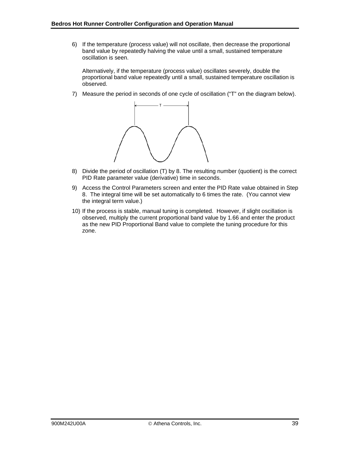6) If the temperature (process value) will not oscillate, then decrease the proportional band value by repeatedly halving the value until a small, sustained temperature oscillation is seen.

Alternatively, if the temperature (process value) oscillates severely, double the proportional band value repeatedly until a small, sustained temperature oscillation is observed.

7) Measure the period in seconds of one cycle of oscillation ("T" on the diagram below).



- 8) Divide the period of oscillation (T) by 8. The resulting number (quotient) is the correct PID Rate parameter value (derivative) time in seconds.
- 9) Access the Control Parameters screen and enter the PID Rate value obtained in Step 8. The integral time will be set automatically to 6 times the rate. (You cannot view the integral term value.)
- 10) If the process is stable, manual tuning is completed. However, if slight oscillation is observed, multiply the current proportional band value by 1.66 and enter the product as the new PID Proportional Band value to complete the tuning procedure for this zone.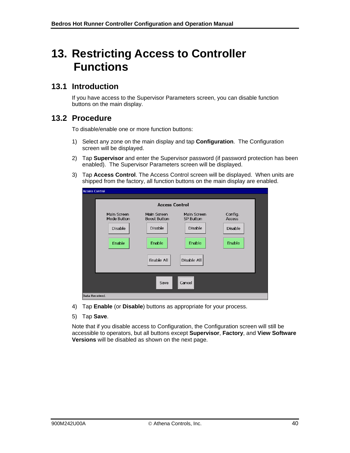# <span id="page-44-0"></span>**13. Restricting Access to Controller Functions**

## <span id="page-44-1"></span>**13.1 Introduction**

If you have access to the Supervisor Parameters screen, you can disable function buttons on the main display.

### <span id="page-44-2"></span>**13.2 Procedure**

To disable/enable one or more function buttons:

- 1) Select any zone on the main display and tap **Configuration**. The Configuration screen will be displayed.
- 2) Tap **Supervisor** and enter the Supervisor password (if password protection has been enabled). The Supervisor Parameters screen will be displayed.
- 3) Tap **Access Control**. The Access Control screen will be displayed. When units are shipped from the factory, all function buttons on the main display are enabled.

| <b>Access Control</b> |                            |                                    |                                 |                   |  |  |  |  |  |  |  |  |
|-----------------------|----------------------------|------------------------------------|---------------------------------|-------------------|--|--|--|--|--|--|--|--|
|                       | <b>Access Control</b>      |                                    |                                 |                   |  |  |  |  |  |  |  |  |
|                       | Main Screen<br>Mode Button | Main Screen<br><b>Boost Button</b> | Main Screen<br><b>SP Button</b> | Config.<br>Access |  |  |  |  |  |  |  |  |
|                       | <b>Disable</b>             | Disable                            | <b>Disable</b>                  | Disable           |  |  |  |  |  |  |  |  |
|                       | Enable                     | Enable                             | Enable                          | Enable            |  |  |  |  |  |  |  |  |
|                       |                            | Enable All                         | Disable All                     |                   |  |  |  |  |  |  |  |  |
|                       |                            | Save                               | Cancel                          |                   |  |  |  |  |  |  |  |  |
| Data Received.        |                            |                                    |                                 |                   |  |  |  |  |  |  |  |  |

- 4) Tap **Enable** (or **Disable**) buttons as appropriate for your process.
- 5) Tap **Save**.

Note that if you disable access to Configuration, the Configuration screen will still be accessible to operators, but all buttons except **Supervisor**, **Factory**, and **View Software Versions** will be disabled as shown on the next page.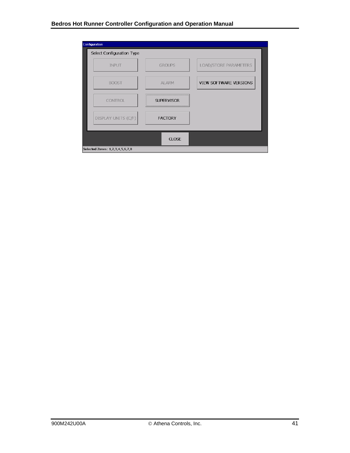| Configuration                   |                   |                        |
|---------------------------------|-------------------|------------------------|
| Select Configuration Type       |                   |                        |
| <b>INPUT</b>                    | <b>GROUPS</b>     | LOAD/STORE PARAMETERS  |
| <b>BOOST</b>                    | <b>ALARM</b>      | VIEW SOFTWARE VERSIONS |
| <b>CONTROL</b>                  | <b>SUPERVISOR</b> |                        |
| DISPLAY UNITS (C/F)             | <b>FACTORY</b>    |                        |
|                                 |                   |                        |
|                                 | CLOSE             |                        |
| Selected Zones: 1,2,3,4,5,6,7,8 |                   |                        |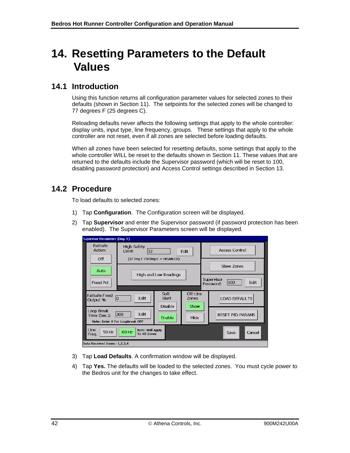# <span id="page-46-0"></span>**14. Resetting Parameters to the Default Values**

## <span id="page-46-1"></span>**14.1 Introduction**

Using this function returns all configuration parameter values for selected zones to their defaults (shown in Section [11\)](#page-30-0). The setpoints for the selected zones will be changed to 77 degrees F (25 degrees C).

Reloading defaults never affects the following settings that apply to the whole controller: display units, input type, line frequency, groups. These settings that apply to the whole controller are not reset, even if all zones are selected before loading defaults.

When all zones have been selected for resetting defaults, some settings that apply to the whole controller WILL be reset to the defaults shown in Section [11.](#page-30-0) These values that are returned to the defaults include the Supervisor password (which will be reset to 100, disabling password protection) and Access Control settings described in Section [13.](#page-44-0)

# <span id="page-46-2"></span>**14.2 Procedure**

To load defaults to selected zones:

- 1) Tap **Configuration**. The Configuration screen will be displayed.
- 2) Tap **Supervisor** and enter the Supervisor password (if password protection has been enabled). The Supervisor Parameters screen will be displayed.

| <b>Supervisor Parameters (Deg. F)</b>                                                        |                                                                                                            |                           |                      |                                        |                         |
|----------------------------------------------------------------------------------------------|------------------------------------------------------------------------------------------------------------|---------------------------|----------------------|----------------------------------------|-------------------------|
| Failsafe<br>Action                                                                           | <b>High Safety</b><br>Limit:<br>32<br>Edit<br>$(32$ Deq F $/$ 0 Deq C = DISABLED)<br>High and Low Readings |                           |                      |                                        | <b>Access Control</b>   |
| Off<br>Auto                                                                                  |                                                                                                            |                           |                      |                                        | Slave Zones             |
| Fixed Pct.                                                                                   |                                                                                                            |                           |                      | Supervisor<br>100<br>Edit<br>Password: |                         |
| Soft<br><b>Failsafe Fixed</b><br>Edit<br>Start<br>l0<br>Output %:<br>Disable                 |                                                                                                            | Off-Line<br>Zones<br>Show | <b>LOAD DEFAULTS</b> |                                        |                         |
| Loop Break<br>Edit<br>300<br>Time (Sec.):<br>Enable<br>Note: Enter 9 For Loopbreak OFF       |                                                                                                            |                           | Hide                 |                                        | <b>RESET PID PARAMS</b> |
| Line<br>Note: Will Apply<br>50 Hz<br>60 Hz<br>Cancel<br>Save<br><b>To All Zones</b><br>Freq. |                                                                                                            |                           |                      |                                        |                         |
| Data Received Zones: 1,2,3,4                                                                 |                                                                                                            |                           |                      |                                        |                         |

- 3) Tap **Load Defaults**. A confirmation window will be displayed.
- 4) Tap **Yes.** The defaults will be loaded to the selected zones. You must cycle power to the Bedros unit for the changes to take effect.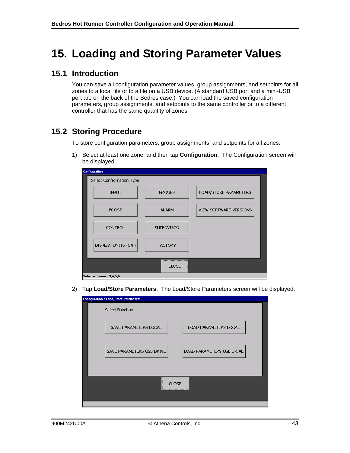# <span id="page-47-0"></span>**15. Loading and Storing Parameter Values**

## <span id="page-47-1"></span>**15.1 Introduction**

You can save all configuration parameter values, group assignments, and setpoints for all zones to a local file or to a file on a USB device. (A standard USB port and a mini-USB port are on the back of the Bedros case.) You can load the saved configuration parameters, group assignments, and setpoints to the same controller or to a different controller that has the same quantity of zones.

## <span id="page-47-2"></span>**15.2 Storing Procedure**

To store configuration parameters, group assignments, and setpoints for all zones:

1) Select at least one zone, and then tap **Configuration**. The Configuration screen will be displayed.

| Configuration             |                   |                        |
|---------------------------|-------------------|------------------------|
| Select Configuration Type |                   |                        |
| <b>INPUT</b>              | <b>GROUPS</b>     | LOAD/STORE PARAMETERS  |
| <b>BOOST</b>              | <b>ALARM</b>      | VIEW SOFTWARE VERSIONS |
| <b>CONTROL</b>            | <b>SUPERVISOR</b> |                        |
| DISPLAY UNITS (C/F)       | <b>FACTORY</b>    |                        |
|                           | <b>CLOSE</b>      |                        |
| Selected Zones: 3,4,5,6   |                   |                        |

2) Tap **Load/Store Parameters**. The Load/Store Parameters screen will be displayed.

| Configuration : Load/Store Parameters |                           |
|---------------------------------------|---------------------------|
| <b>Select Function</b>                |                           |
| SAVE PARAMETERS LOCAL                 | LOAD PARAMETERS LOCAL     |
| SAVE PARAMETERS USB DRIVE             | LOAD PARAMETERS USB DRIVE |
|                                       | <b>CLOSE</b>              |
|                                       |                           |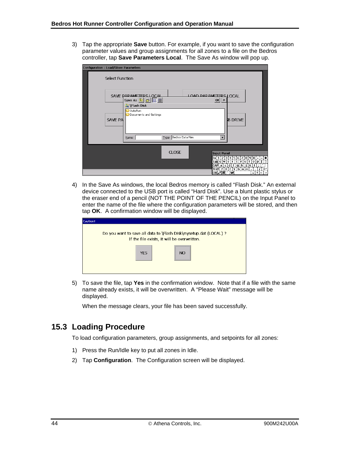3) Tap the appropriate **Save** button. For example, if you want to save the configuration parameter values and group assignments for all zones to a file on the Bedros controller, tap **Save Parameters Local**. The Save As window will pop up.

| Configuration : Load/Store Parameters |                                                                                                                                                                                                     |                               |
|---------------------------------------|-----------------------------------------------------------------------------------------------------------------------------------------------------------------------------------------------------|-------------------------------|
| <b>Select Function</b>                |                                                                                                                                                                                                     |                               |
|                                       | LOAD PARAMETERS LOCAL<br>SAVE PARAMETERS LOCAL<br>Save As <b><sup>B</sup></b> 普羅爾<br>$ OK  \times$<br>S Flash Disk                                                                                  |                               |
| <b>SAVE PA</b>                        | AutoRun<br>Documents and Settings<br><b>B DRIVE</b>                                                                                                                                                 |                               |
|                                       | Type: Bedros Data Files<br>Name:<br>▼                                                                                                                                                               |                               |
|                                       | <b>CLOSE</b><br>Input Panel<br>4567890<br>Esc $\vert 1 \vert 2 \vert 3 \vert$<br>$\blacksquare$                                                                                                     | Ξ                             |
|                                       | Tab∫q∐w∏e ∣<br>l y<br>t<br>∣u i<br>o  <br>þ<br>$\mathbf{r}$<br>÷<br>[CAP∐a∐s]<br>d<br>g<br>'n<br>k<br>$\mathbf f$<br>Shift z<br>Īx<br>c<br>l v.<br>∐b∐n ∣m<br>Ctll才】菫[ )<br>™<br>İ۴<br>$\downarrow$ | $\leftarrow$<br>$\rightarrow$ |

4) In the Save As windows, the local Bedros memory is called "Flash Disk." An external device connected to the USB port is called "Hard Disk". Use a blunt plastic stylus or the eraser end of a pencil (NOT THE POINT OF THE PENCIL) on the Input Panel to enter the name of the file where the configuration parameters will be stored, and then tap **OK**. A confirmation window will be displayed.

| Caution! |                                                                                                                   |
|----------|-------------------------------------------------------------------------------------------------------------------|
|          | Do you want to save all data to \Flash Disk\mysetup.dat (LOCAL) ?<br>If the file exists, it will be overwritten.  |
|          | <b>CONTRACTORS' CONTRACTORS' CONTRACTORS' (CONTRACTORS)</b><br><b>YES</b><br>NO.<br>***************************** |
|          |                                                                                                                   |

5) To save the file, tap **Yes** in the confirmation window. Note that if a file with the same name already exists, it will be overwritten. A "Please Wait" message will be displayed.

When the message clears, your file has been saved successfully.

# <span id="page-48-0"></span>**15.3 Loading Procedure**

To load configuration parameters, group assignments, and setpoints for all zones:

- 1) Press the Run/Idle key to put all zones in Idle.
- 2) Tap **Configuration**. The Configuration screen will be displayed.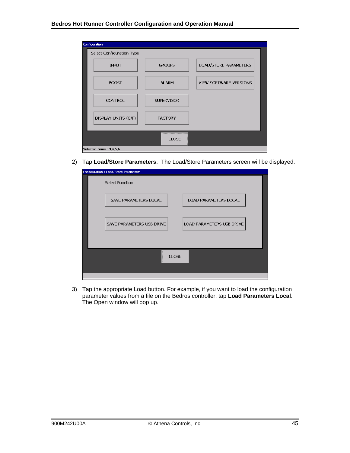| Configuration             |                   |                               |
|---------------------------|-------------------|-------------------------------|
| Select Configuration Type |                   |                               |
| <b>INPUT</b>              | <b>GROUPS</b>     | LOAD/STORE PARAMETERS         |
| <b>BOOST</b>              | <b>ALARM</b>      | <b>VIEW SOFTWARE VERSIONS</b> |
| <b>CONTROL</b>            | <b>SUPERVISOR</b> |                               |
| DISPLAY UNITS (C/F)       | <b>FACTORY</b>    |                               |
|                           |                   |                               |
|                           | <b>CLOSE</b>      |                               |
| Selected Zones: 3,4,5,6   |                   |                               |

2) Tap **Load/Store Parameters**. The Load/Store Parameters screen will be displayed.

| Configuration : Load/Store Parameters |                              |
|---------------------------------------|------------------------------|
| <b>Select Function</b>                |                              |
| SAVE PARAMETERS LOCAL                 | <b>LOAD PARAMETERS LOCAL</b> |
| SAVE PARAMETERS USB DRIVE             | LOAD PARAMETERS USB DRIVE    |
| <b>CLOSE</b>                          |                              |
|                                       |                              |

3) Tap the appropriate Load button. For example, if you want to load the configuration parameter values from a file on the Bedros controller, tap **Load Parameters Local**. The Open window will pop up.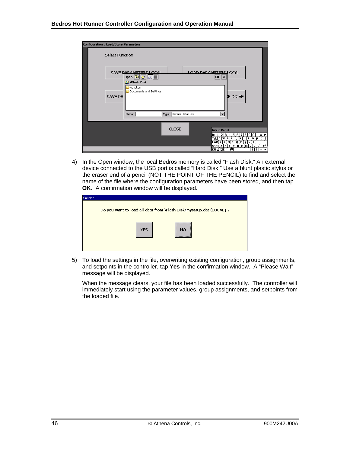| Configuration : Load/Store Parameters |                                                                                                                                                                                        |               |
|---------------------------------------|----------------------------------------------------------------------------------------------------------------------------------------------------------------------------------------|---------------|
| <b>Select Function</b>                |                                                                                                                                                                                        |               |
| <b>SAVE PA</b>                        | LOAD PARAMETERS LOCAL<br>SAVE PARAMETERS LOCAL<br>Open 白 di 臣而<br> 0k <br>$\mathsf{X}$<br><b>Q</b> Flash Disk<br>AutoRun<br>Documents and Settings<br><b>B DRIVE</b>                   |               |
|                                       | Type: Bedros Data Files<br>$\blacktriangledown$<br>Name:                                                                                                                               |               |
|                                       | <b>CLOSE</b><br><b>Input Panel</b><br>4567890-<br>Esc $\vert 1 \vert 2 \vert 3$                                                                                                        | $\equiv$      |
|                                       | tiri<br>Tab∣q∫w∫e ∣<br>l u<br>op<br>r<br>i.<br>∐d∐f<br>[g]h]<br>CAPI a i<br>j<br>k<br>$\mathbf{s}$<br>Shift<br>zix<br>⊻ibinim<br>с<br>[Ctl]才[漢]<br>ГV<br>$\overline{\phantom{a}}$<br>т | $\rightarrow$ |

4) In the Open window, the local Bedros memory is called "Flash Disk." An external device connected to the USB port is called "Hard Disk." Use a blunt plastic stylus or the eraser end of a pencil (NOT THE POINT OF THE PENCIL) to find and select the name of the file where the configuration parameters have been stored, and then tap **OK**. A confirmation window will be displayed.

| <b>Caution!</b> |                                                                                         |
|-----------------|-----------------------------------------------------------------------------------------|
|                 | Do you want to load all data from \Flash Disk\mysetup.dat (LOCAL) ?                     |
|                 | ----------------------------<br><b>YES</b><br>N <sub>O</sub><br>*********************** |

5) To load the settings in the file, overwriting existing configuration, group assignments, and setpoints in the controller, tap **Yes** in the confirmation window. A "Please Wait" message will be displayed.

When the message clears, your file has been loaded successfully. The controller will immediately start using the parameter values, group assignments, and setpoints from the loaded file.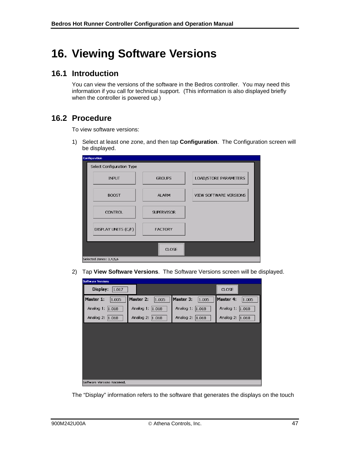# <span id="page-51-0"></span>**16. Viewing Software Versions**

## <span id="page-51-1"></span>**16.1 Introduction**

You can view the versions of the software in the Bedros controller. You may need this information if you call for technical support. (This information is also displayed briefly when the controller is powered up.)

## <span id="page-51-2"></span>**16.2 Procedure**

To view software versions:

1) Select at least one zone, and then tap **Configuration**. The Configuration screen will be displayed.

| Configuration             |                   |                        |
|---------------------------|-------------------|------------------------|
| Select Configuration Type |                   |                        |
| <b>INPUT</b>              | <b>GROUPS</b>     | LOAD/STORE PARAMETERS  |
| <b>BOOST</b>              | <b>ALARM</b>      | VIEW SOFTWARE VERSIONS |
| <b>CONTROL</b>            | <b>SUPERVISOR</b> |                        |
| DISPLAY UNITS (C/F)       | <b>FACTORY</b>    |                        |
|                           | <b>CLOSE</b>      |                        |
| Selected Zones: 3,4,5,6   |                   |                        |

2) Tap **View Software Versions**. The Software Versions screen will be displayed.

| <b>Software Versions</b>    |                    |                    |                    |
|-----------------------------|--------------------|--------------------|--------------------|
| Display:<br>1.017           |                    |                    | <b>CLOSE</b>       |
| Master 1:<br>1.005          | Master 2:<br>1.005 | Master 3:<br>1.005 | Master 4:<br>1.005 |
| Analog 1:<br> 1.018         | Analog 1:<br>1.018 | Analog 1: 1.018    | Analog 1: 1.018    |
| Analog 2: 1.018             | Analog 2:<br>1.018 | Analog 2: 1.018    | Analog 2: 1.018    |
|                             |                    |                    |                    |
|                             |                    |                    |                    |
|                             |                    |                    |                    |
|                             |                    |                    |                    |
|                             |                    |                    |                    |
|                             |                    |                    |                    |
| Software Versions Received. |                    |                    |                    |

The "Display" information refers to the software that generates the displays on the touch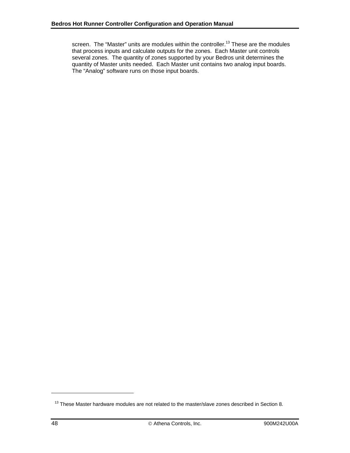screen. The "Master" units are modules within the controller.<sup>13</sup> These are the modules that process inputs and calculate outputs for the zones. Each Master unit controls several zones. The quantity of zones supported by your Bedros unit determines the quantity of Master units needed. Each Master unit contains two analog input boards. The "Analog" software runs on those input boards.

-

<sup>&</sup>lt;sup>13</sup> These Master hardware modules are not related to the master/slave zones described in Section 8.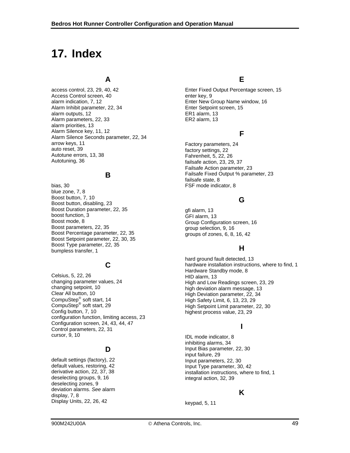# <span id="page-53-0"></span>**17. Index**

Access Control screen, 40 enter key, 9 alarm indication, 7, 12 Enter New Group Name window, 16 Alarm Inhibit parameter, 22, 34 Enter Setpoint screen, 15 alarm outputs, 12 extending the state of the ER1 alarm, 13 Alarm parameters, 22, 33 ER2 alarm, 13 alarm priorities, 13 Alarm Silence key, 11, 12<br>Alarm Silence Seconds parameter, 22, 34 arrow keys, 11 and the state of the case of the Factory parameters, 24 auto reset, 39 Autotune errors, 13, 38 Fahrenheit, 5, 22, 26<br>Autotuning, 36 Fahrenheit, 5, 22, 26

bias, 30 **FSF** mode indicator, 8 blue zone, 7, 8 Boost button, 7, 10 Boost button, disabling, 23 **G** Boost Duration parameter, 22, 35<br>
boost function, 3<br>
Boost mode. 8 GFI alarm, 13<br>
Group Configu Boost parameters, 22, 35 group selection, 9, 16 Boost Percentage parameter, 22, 35 groups of zones, 6, 8, 16, 42<br>Boost Setpoint parameter, 22, 30, 35 Boost Type parameter, 22, 35 bubst Type parameter, 22, 33<br>bumpless transfer, 1

Example 18 Hardware Standby mode, 8<br>Celsius, 5, 22, 26 HID alarm, 13<br>Changing parameter values, 24 High and I ow Readings scr changing parameter values, 24 **hour and the High and Low Readings screen**, 23, 29<br>
changing setpoint, 10 **hour and the contract of the banging screen**, 23, 29 changing setpoint, 10 https://www.farition.changing setpoint, 10 high deviation alarm message, 13 Clear All button, 10 High Deviation parameter, 22, 34 CompuStep<sup>®</sup> soft start, 14  $\qquad \qquad$  High Safety Limit, 6, 13, 23, 29 CompuStep® CompuStep<sup>∾</sup> soft start, 29 High Setpoint Limit parameter, 22, 30<br>Config button, 7, 10 highest process value. 23, 29 configuration function, limiting access, 23 Configuration screen, 24, 43, 44, 47 **<sup>I</sup>** Control parameters, 22, 31 cursor, 9, 10 **IDL** mode indicator, 8

default settings (factory), 22 Input parameters, 22, 30<br>default values, restoring, 42 Input Type parameter. 30 deselecting groups, 9, 16 integral action, 32, 39 deselecting zones, 9 deviation alarms. *See* alarm display, 7, 8 **K** Display Units, 22, 26, 42 keypad, 5, 11

## **A E**

access control, 23, 29, 40, 42 Enter Fixed Output Percentage screen, 15

factory settings, 22 failsafe action, 23, 29, 37 Failsafe Action parameter, 23 **B** Failsafe Fixed Output % parameter, 23 failsafe state, 8

Group Configuration screen, 16

hard ground fault detected, 13 **C** hardware installation instructions, where to find, 1 highest process value, 23, 29

inhibiting alarms, 34 **D** Input Bias parameter, 22, 30 input failure, 29 default values, restoring, 42 Input Type parameter, 30, 42 installation instructions, where to find, 1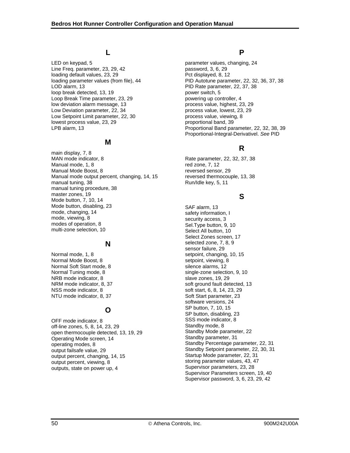LED on keypad, 5 parameter values, changing, 24 Line Freq. parameter, 23, 29, 42 password, 3, 6, 29 loading default values, 23, 29 Pct displayed, 8, 12 LOD alarm, 13 PID Rate parameter, 22, 37, 38 loop break detected, 13, 19 power switch, 5 Loop Break Time parameter, 23, 29 powering up controller, 4<br>
low deviation alarm message, 13 process value, highest, 23, 29 low deviation alarm message, 13 Low Deviation parameter, 22, 34 **process value, lowest, 23, 29** Low Setpoint Limit parameter, 22, 30 process value, viewing, 8 lowest process value, 23, 29 proportional band, 39

### **M**

main display, 7, 8 MAN mode indicator, 8 and 1 Rate parameter, 22, 32, 37, 38 Manual mode, 1, 8 red zone, 7, 12 Manual Mode Boost, 8 reversed sensor, 29 Manual mode output percent, changing, 14, 15 reversed thermocouple, 13, 38 manual tuning, 38 Run/Idle key, 5, 11 manual tuning procedure, 38 master zones, 19 **<sup>S</sup>** Mode button, 7, 10, 14 Mode button, disabling, 23 SAF alarm, 13 mode, changing, 14 safety information, I<br>mode, viewing, 8 security access. 3 mode, viewing, 8 security access, 3 modes of operation, 8 Security access, 3 modes of operation, 9, 10 multi-zone selection, 10 and 10 Select All button, 10

Normal mode, 1, 8 setpoint, changing, 10, 15 Normal Mode Boost, 8 setpoint, viewing, 8 setpoint, viewing, 8 setpoint, viewing, 8 Normal Soft Start mode, 8 NRB mode indicator, 8 slave zones, 19, 29 NSS mode indicator, 8 soft start, 6, 8, 14, 23, 29 NTU mode indicator, 8, 37 Soft Start parameter, 23

OFF mode indicator, 8<br>
Off-line zones 5, 8, 14, 23, 29<br>
Standby mode, 8 off-line zones, 5, 8, 14, 23, 29<br>
open thermocouple detected 13, 19, 29 Standby Mode parameter, 22 open thermocouple detected, 13, 19, 29 Standby Mode parameter, 31<br>Operating Mode screen 14 Standby parameter, 31 Operating Mode screen, 14 operating modes, 8 Standby Percentage parameter, 22, 31 output failsafe value, 29<br>
output failsafe value, 29<br>
output percent changing 14 15<br>
Startup Mode parameter, 22, 31 output percent, changing, 14, 15 output percent, viewing, 8<br>
output percent, viewing, 8<br>
outputs state on power up 4<br>
Supervisor parameters, 23, 28 outputs, state on power up, 4

## **L P**

loading parameter values (from file), 44 PID Autotune parameter, 22, 32, 36, 37, 38 LPB alarm, 13 Proportional Band parameter, 22, 32, 38, 39 Proportional-Integral-Derivativel. *See* PID

# **R**

Select Zones screen, 17 **N** selected zone, 7, 8, 9 sensor failure, 29 Normal Tuning mode, 8 single-zone selection, 9, 10 NRM mode indicator, 8, 37 soft ground fault detected, 13 software versions, 24 **O** SP button, 7, 10, 15<br>
SP button, disabling, 23 Supervisor Parameters screen, 19, 40 Supervisor password, 3, 6, 23, 29, 42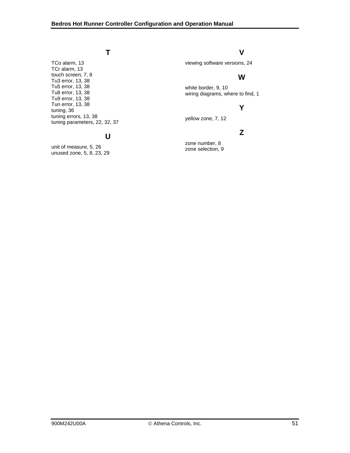#### **T**

TCo alarm, 13 TCr alarm, 13 touch screen, 7, 8 Tu3 error, 13, 38 Tu5 error, 13, 38 Tu8 error, 13, 38 Tu9 error, 13, 38 Tun error, 13, 38 tuning, 36 tuning errors, 13, 38 tuning parameters, 22, 32, 37

### **U**

unit of measure, 5, 26 unused zone, 5, 8, 23, 29

### **V**

viewing software versions, 24

# **W**

white border, 9, 10 wiring diagrams, where to find, 1

## **Y**

yellow zone, 7, 12

## **Z**

zone number, 8 zone selection, 9